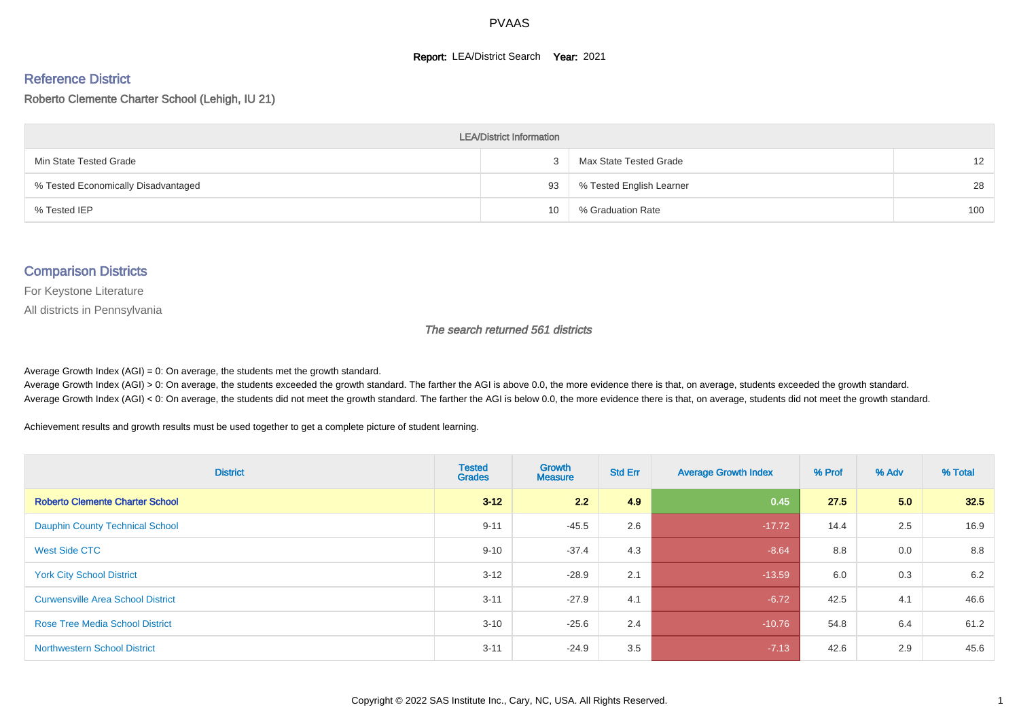#### **Report: LEA/District Search Year: 2021**

#### Reference District

#### Roberto Clemente Charter School (Lehigh, IU 21)

| <b>LEA/District Information</b>     |    |                          |                   |  |  |  |  |  |  |  |
|-------------------------------------|----|--------------------------|-------------------|--|--|--|--|--|--|--|
| Min State Tested Grade              |    | Max State Tested Grade   | $12 \overline{ }$ |  |  |  |  |  |  |  |
| % Tested Economically Disadvantaged | 93 | % Tested English Learner | 28                |  |  |  |  |  |  |  |
| % Tested IEP                        | 10 | % Graduation Rate        | 100               |  |  |  |  |  |  |  |

#### Comparison Districts

For Keystone Literature

All districts in Pennsylvania

The search returned 561 districts

Average Growth Index  $(AGI) = 0$ : On average, the students met the growth standard.

Average Growth Index (AGI) > 0: On average, the students exceeded the growth standard. The farther the AGI is above 0.0, the more evidence there is that, on average, students exceeded the growth standard. Average Growth Index (AGI) < 0: On average, the students did not meet the growth standard. The farther the AGI is below 0.0, the more evidence there is that, on average, students did not meet the growth standard.

Achievement results and growth results must be used together to get a complete picture of student learning.

| <b>District</b>                          | <b>Tested</b><br><b>Grades</b> | Growth<br><b>Measure</b> | <b>Std Err</b> | <b>Average Growth Index</b> | % Prof | % Adv | % Total |
|------------------------------------------|--------------------------------|--------------------------|----------------|-----------------------------|--------|-------|---------|
| <b>Roberto Clemente Charter School</b>   | $3 - 12$                       | 2.2                      | 4.9            | 0.45                        | 27.5   | 5.0   | 32.5    |
| <b>Dauphin County Technical School</b>   | $9 - 11$                       | $-45.5$                  | 2.6            | $-17.72$                    | 14.4   | 2.5   | 16.9    |
| West Side CTC                            | $9 - 10$                       | $-37.4$                  | 4.3            | $-8.64$                     | 8.8    | 0.0   | 8.8     |
| <b>York City School District</b>         | $3 - 12$                       | $-28.9$                  | 2.1            | $-13.59$                    | 6.0    | 0.3   | 6.2     |
| <b>Curwensville Area School District</b> | $3 - 11$                       | $-27.9$                  | 4.1            | $-6.72$                     | 42.5   | 4.1   | 46.6    |
| <b>Rose Tree Media School District</b>   | $3 - 10$                       | $-25.6$                  | 2.4            | $-10.76$                    | 54.8   | 6.4   | 61.2    |
| <b>Northwestern School District</b>      | $3 - 11$                       | $-24.9$                  | 3.5            | $-7.13$                     | 42.6   | 2.9   | 45.6    |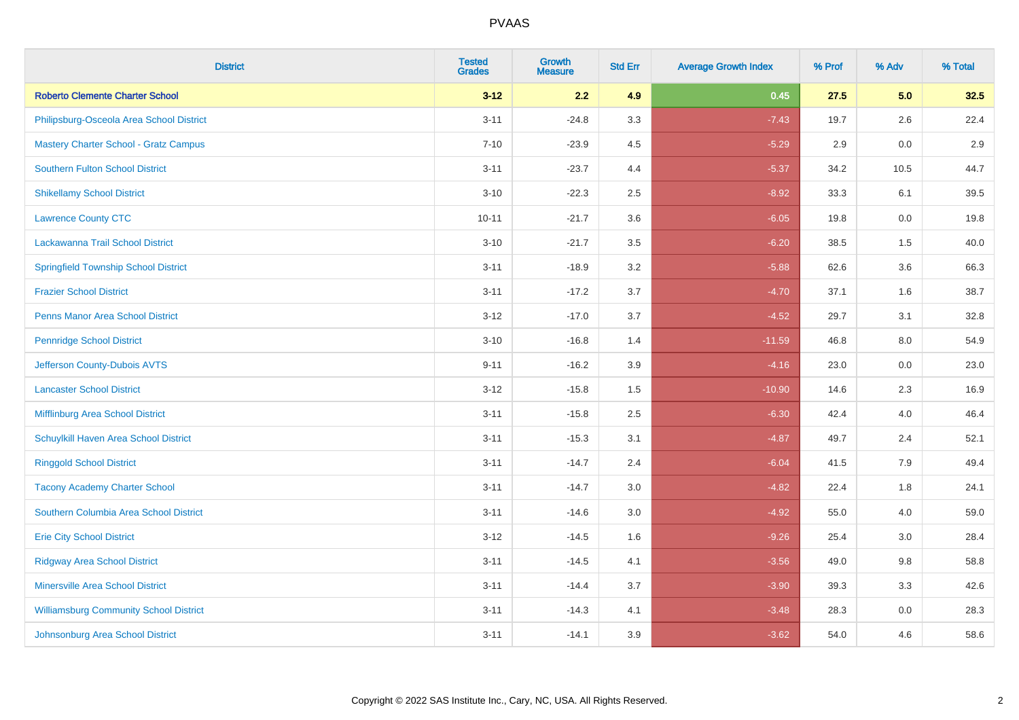| <b>District</b>                               | <b>Tested</b><br><b>Grades</b> | <b>Growth</b><br><b>Measure</b> | <b>Std Err</b> | <b>Average Growth Index</b> | % Prof | % Adv   | % Total |
|-----------------------------------------------|--------------------------------|---------------------------------|----------------|-----------------------------|--------|---------|---------|
| <b>Roberto Clemente Charter School</b>        | $3 - 12$                       | 2.2                             | 4.9            | 0.45                        | 27.5   | 5.0     | 32.5    |
| Philipsburg-Osceola Area School District      | $3 - 11$                       | $-24.8$                         | 3.3            | $-7.43$                     | 19.7   | $2.6\,$ | 22.4    |
| <b>Mastery Charter School - Gratz Campus</b>  | $7 - 10$                       | $-23.9$                         | 4.5            | $-5.29$                     | 2.9    | 0.0     | 2.9     |
| <b>Southern Fulton School District</b>        | $3 - 11$                       | $-23.7$                         | 4.4            | $-5.37$                     | 34.2   | 10.5    | 44.7    |
| <b>Shikellamy School District</b>             | $3 - 10$                       | $-22.3$                         | 2.5            | $-8.92$                     | 33.3   | 6.1     | 39.5    |
| <b>Lawrence County CTC</b>                    | $10 - 11$                      | $-21.7$                         | 3.6            | $-6.05$                     | 19.8   | 0.0     | 19.8    |
| Lackawanna Trail School District              | $3 - 10$                       | $-21.7$                         | 3.5            | $-6.20$                     | 38.5   | 1.5     | 40.0    |
| <b>Springfield Township School District</b>   | $3 - 11$                       | $-18.9$                         | 3.2            | $-5.88$                     | 62.6   | 3.6     | 66.3    |
| <b>Frazier School District</b>                | $3 - 11$                       | $-17.2$                         | 3.7            | $-4.70$                     | 37.1   | 1.6     | 38.7    |
| <b>Penns Manor Area School District</b>       | $3 - 12$                       | $-17.0$                         | 3.7            | $-4.52$                     | 29.7   | 3.1     | 32.8    |
| <b>Pennridge School District</b>              | $3 - 10$                       | $-16.8$                         | 1.4            | $-11.59$                    | 46.8   | 8.0     | 54.9    |
| Jefferson County-Dubois AVTS                  | $9 - 11$                       | $-16.2$                         | 3.9            | $-4.16$                     | 23.0   | 0.0     | 23.0    |
| <b>Lancaster School District</b>              | $3 - 12$                       | $-15.8$                         | $1.5$          | $-10.90$                    | 14.6   | $2.3\,$ | 16.9    |
| <b>Mifflinburg Area School District</b>       | $3 - 11$                       | $-15.8$                         | 2.5            | $-6.30$                     | 42.4   | 4.0     | 46.4    |
| Schuylkill Haven Area School District         | $3 - 11$                       | $-15.3$                         | 3.1            | $-4.87$                     | 49.7   | 2.4     | 52.1    |
| <b>Ringgold School District</b>               | $3 - 11$                       | $-14.7$                         | 2.4            | $-6.04$                     | 41.5   | 7.9     | 49.4    |
| <b>Tacony Academy Charter School</b>          | $3 - 11$                       | $-14.7$                         | 3.0            | $-4.82$                     | 22.4   | 1.8     | 24.1    |
| Southern Columbia Area School District        | $3 - 11$                       | $-14.6$                         | 3.0            | $-4.92$                     | 55.0   | 4.0     | 59.0    |
| <b>Erie City School District</b>              | $3 - 12$                       | $-14.5$                         | 1.6            | $-9.26$                     | 25.4   | 3.0     | 28.4    |
| <b>Ridgway Area School District</b>           | $3 - 11$                       | $-14.5$                         | 4.1            | $-3.56$                     | 49.0   | 9.8     | 58.8    |
| <b>Minersville Area School District</b>       | $3 - 11$                       | $-14.4$                         | 3.7            | $-3.90$                     | 39.3   | 3.3     | 42.6    |
| <b>Williamsburg Community School District</b> | $3 - 11$                       | $-14.3$                         | 4.1            | $-3.48$                     | 28.3   | 0.0     | 28.3    |
| Johnsonburg Area School District              | $3 - 11$                       | $-14.1$                         | 3.9            | $-3.62$                     | 54.0   | 4.6     | 58.6    |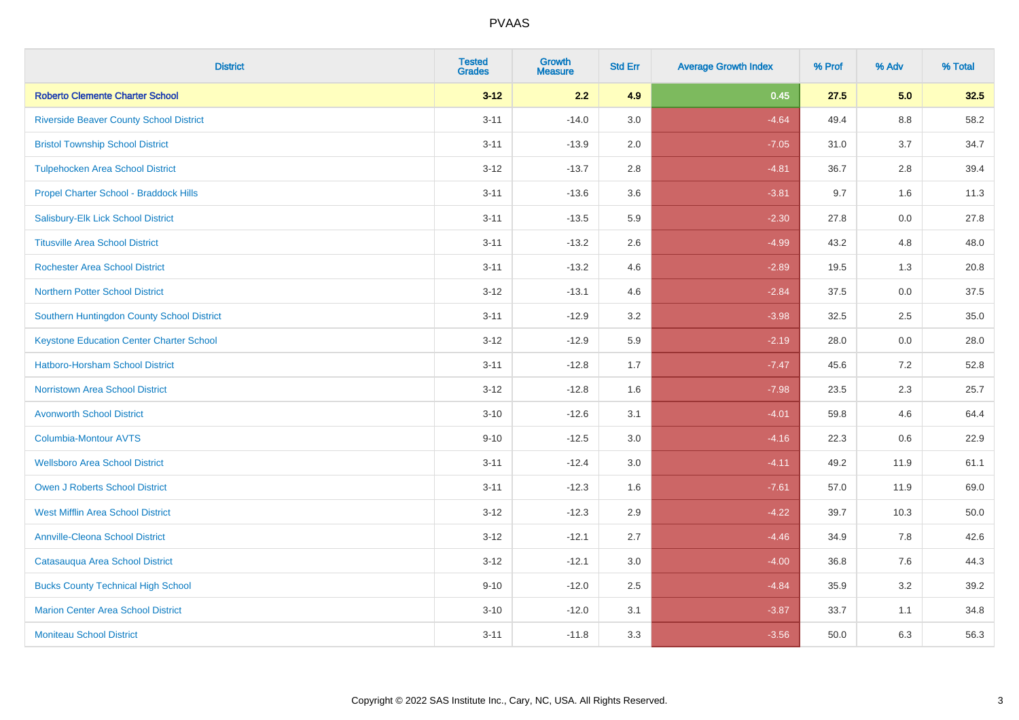| <b>District</b>                                 | <b>Tested</b><br><b>Grades</b> | Growth<br><b>Measure</b> | <b>Std Err</b> | <b>Average Growth Index</b> | % Prof | % Adv   | % Total |
|-------------------------------------------------|--------------------------------|--------------------------|----------------|-----------------------------|--------|---------|---------|
| <b>Roberto Clemente Charter School</b>          | $3 - 12$                       | 2.2                      | 4.9            | 0.45                        | 27.5   | 5.0     | 32.5    |
| <b>Riverside Beaver County School District</b>  | $3 - 11$                       | $-14.0$                  | 3.0            | $-4.64$                     | 49.4   | 8.8     | 58.2    |
| <b>Bristol Township School District</b>         | $3 - 11$                       | $-13.9$                  | 2.0            | $-7.05$                     | 31.0   | 3.7     | 34.7    |
| <b>Tulpehocken Area School District</b>         | $3 - 12$                       | $-13.7$                  | 2.8            | $-4.81$                     | 36.7   | 2.8     | 39.4    |
| Propel Charter School - Braddock Hills          | $3 - 11$                       | $-13.6$                  | 3.6            | $-3.81$                     | 9.7    | 1.6     | 11.3    |
| Salisbury-Elk Lick School District              | $3 - 11$                       | $-13.5$                  | 5.9            | $-2.30$                     | 27.8   | $0.0\,$ | 27.8    |
| <b>Titusville Area School District</b>          | $3 - 11$                       | $-13.2$                  | 2.6            | $-4.99$                     | 43.2   | 4.8     | 48.0    |
| <b>Rochester Area School District</b>           | $3 - 11$                       | $-13.2$                  | 4.6            | $-2.89$                     | 19.5   | 1.3     | 20.8    |
| <b>Northern Potter School District</b>          | $3 - 12$                       | $-13.1$                  | 4.6            | $-2.84$                     | 37.5   | 0.0     | 37.5    |
| Southern Huntingdon County School District      | $3 - 11$                       | $-12.9$                  | 3.2            | $-3.98$                     | 32.5   | 2.5     | 35.0    |
| <b>Keystone Education Center Charter School</b> | $3 - 12$                       | $-12.9$                  | 5.9            | $-2.19$                     | 28.0   | 0.0     | 28.0    |
| Hatboro-Horsham School District                 | $3 - 11$                       | $-12.8$                  | 1.7            | $-7.47$                     | 45.6   | 7.2     | 52.8    |
| Norristown Area School District                 | $3 - 12$                       | $-12.8$                  | 1.6            | $-7.98$                     | 23.5   | $2.3\,$ | 25.7    |
| <b>Avonworth School District</b>                | $3 - 10$                       | $-12.6$                  | 3.1            | $-4.01$                     | 59.8   | 4.6     | 64.4    |
| <b>Columbia-Montour AVTS</b>                    | $9 - 10$                       | $-12.5$                  | 3.0            | $-4.16$                     | 22.3   | 0.6     | 22.9    |
| <b>Wellsboro Area School District</b>           | $3 - 11$                       | $-12.4$                  | 3.0            | $-4.11$                     | 49.2   | 11.9    | 61.1    |
| <b>Owen J Roberts School District</b>           | $3 - 11$                       | $-12.3$                  | 1.6            | $-7.61$                     | 57.0   | 11.9    | 69.0    |
| <b>West Mifflin Area School District</b>        | $3 - 12$                       | $-12.3$                  | 2.9            | $-4.22$                     | 39.7   | 10.3    | 50.0    |
| <b>Annville-Cleona School District</b>          | $3 - 12$                       | $-12.1$                  | 2.7            | $-4.46$                     | 34.9   | 7.8     | 42.6    |
| Catasauqua Area School District                 | $3 - 12$                       | $-12.1$                  | 3.0            | $-4.00$                     | 36.8   | 7.6     | 44.3    |
| <b>Bucks County Technical High School</b>       | $9 - 10$                       | $-12.0$                  | 2.5            | $-4.84$                     | 35.9   | 3.2     | 39.2    |
| <b>Marion Center Area School District</b>       | $3 - 10$                       | $-12.0$                  | 3.1            | $-3.87$                     | 33.7   | 1.1     | 34.8    |
| <b>Moniteau School District</b>                 | $3 - 11$                       | $-11.8$                  | 3.3            | $-3.56$                     | 50.0   | 6.3     | 56.3    |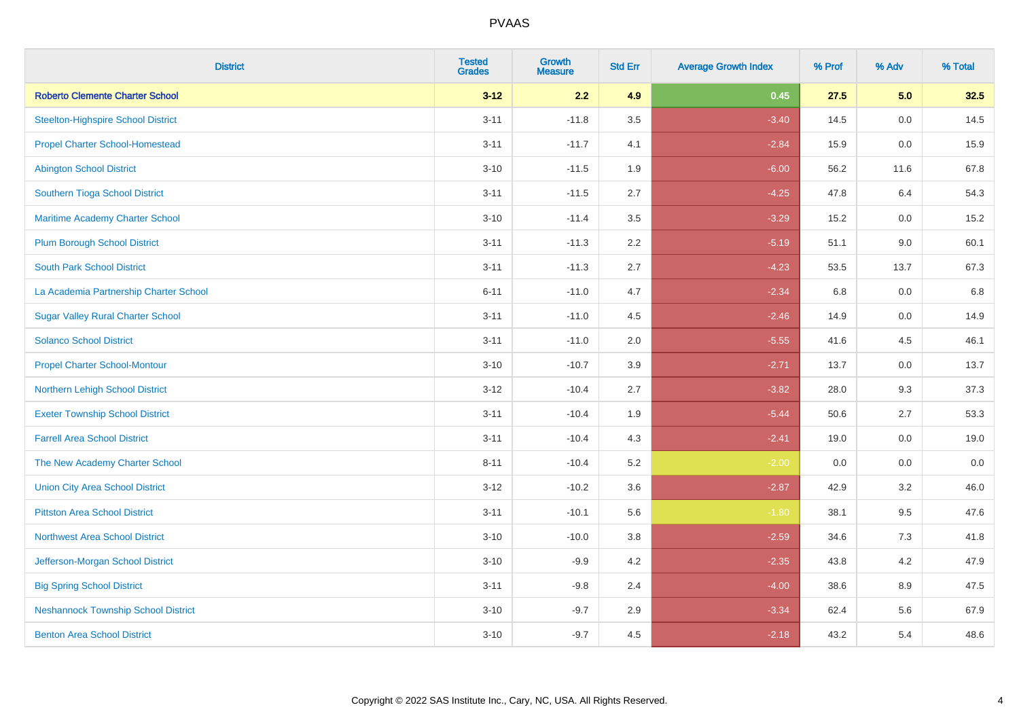| <b>District</b>                            | <b>Tested</b><br><b>Grades</b> | <b>Growth</b><br><b>Measure</b> | <b>Std Err</b> | <b>Average Growth Index</b> | % Prof | % Adv   | % Total |
|--------------------------------------------|--------------------------------|---------------------------------|----------------|-----------------------------|--------|---------|---------|
| <b>Roberto Clemente Charter School</b>     | $3 - 12$                       | 2.2                             | 4.9            | 0.45                        | 27.5   | 5.0     | 32.5    |
| <b>Steelton-Highspire School District</b>  | $3 - 11$                       | $-11.8$                         | 3.5            | $-3.40$                     | 14.5   | 0.0     | 14.5    |
| <b>Propel Charter School-Homestead</b>     | $3 - 11$                       | $-11.7$                         | 4.1            | $-2.84$                     | 15.9   | 0.0     | 15.9    |
| <b>Abington School District</b>            | $3 - 10$                       | $-11.5$                         | 1.9            | $-6.00$                     | 56.2   | 11.6    | 67.8    |
| Southern Tioga School District             | $3 - 11$                       | $-11.5$                         | 2.7            | $-4.25$                     | 47.8   | 6.4     | 54.3    |
| Maritime Academy Charter School            | $3 - 10$                       | $-11.4$                         | 3.5            | $-3.29$                     | 15.2   | 0.0     | 15.2    |
| <b>Plum Borough School District</b>        | $3 - 11$                       | $-11.3$                         | 2.2            | $-5.19$                     | 51.1   | 9.0     | 60.1    |
| <b>South Park School District</b>          | $3 - 11$                       | $-11.3$                         | 2.7            | $-4.23$                     | 53.5   | 13.7    | 67.3    |
| La Academia Partnership Charter School     | $6 - 11$                       | $-11.0$                         | 4.7            | $-2.34$                     | 6.8    | 0.0     | 6.8     |
| <b>Sugar Valley Rural Charter School</b>   | $3 - 11$                       | $-11.0$                         | 4.5            | $-2.46$                     | 14.9   | 0.0     | 14.9    |
| <b>Solanco School District</b>             | $3 - 11$                       | $-11.0$                         | 2.0            | $-5.55$                     | 41.6   | 4.5     | 46.1    |
| <b>Propel Charter School-Montour</b>       | $3 - 10$                       | $-10.7$                         | 3.9            | $-2.71$                     | 13.7   | 0.0     | 13.7    |
| Northern Lehigh School District            | $3 - 12$                       | $-10.4$                         | 2.7            | $-3.82$                     | 28.0   | 9.3     | 37.3    |
| <b>Exeter Township School District</b>     | $3 - 11$                       | $-10.4$                         | 1.9            | $-5.44$                     | 50.6   | 2.7     | 53.3    |
| <b>Farrell Area School District</b>        | $3 - 11$                       | $-10.4$                         | 4.3            | $-2.41$                     | 19.0   | 0.0     | 19.0    |
| The New Academy Charter School             | $8 - 11$                       | $-10.4$                         | 5.2            | $-2.00$                     | 0.0    | $0.0\,$ | $0.0\,$ |
| <b>Union City Area School District</b>     | $3 - 12$                       | $-10.2$                         | 3.6            | $-2.87$                     | 42.9   | 3.2     | 46.0    |
| <b>Pittston Area School District</b>       | $3 - 11$                       | $-10.1$                         | 5.6            | $-1.80$                     | 38.1   | 9.5     | 47.6    |
| <b>Northwest Area School District</b>      | $3 - 10$                       | $-10.0$                         | 3.8            | $-2.59$                     | 34.6   | $7.3$   | 41.8    |
| Jefferson-Morgan School District           | $3 - 10$                       | $-9.9$                          | 4.2            | $-2.35$                     | 43.8   | 4.2     | 47.9    |
| <b>Big Spring School District</b>          | $3 - 11$                       | $-9.8$                          | 2.4            | $-4.00$                     | 38.6   | 8.9     | 47.5    |
| <b>Neshannock Township School District</b> | $3 - 10$                       | $-9.7$                          | 2.9            | $-3.34$                     | 62.4   | 5.6     | 67.9    |
| <b>Benton Area School District</b>         | $3 - 10$                       | $-9.7$                          | 4.5            | $-2.18$                     | 43.2   | 5.4     | 48.6    |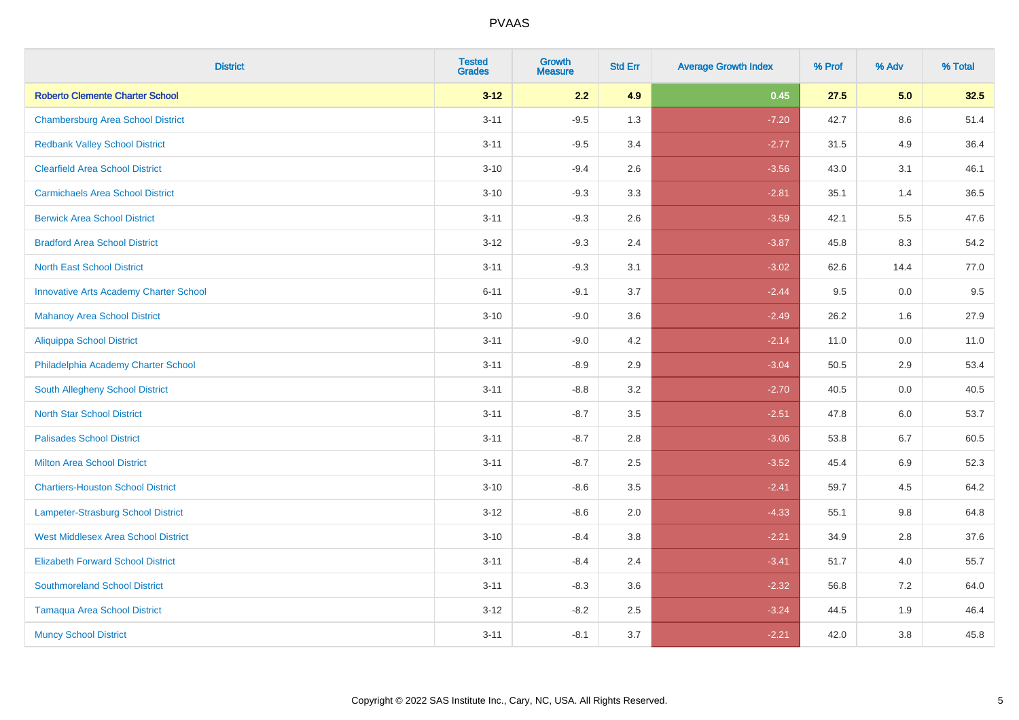| <b>District</b>                               | <b>Tested</b><br><b>Grades</b> | <b>Growth</b><br><b>Measure</b> | <b>Std Err</b> | <b>Average Growth Index</b> | % Prof | % Adv   | % Total |
|-----------------------------------------------|--------------------------------|---------------------------------|----------------|-----------------------------|--------|---------|---------|
| <b>Roberto Clemente Charter School</b>        | $3 - 12$                       | 2.2                             | 4.9            | 0.45                        | 27.5   | 5.0     | 32.5    |
| <b>Chambersburg Area School District</b>      | $3 - 11$                       | $-9.5$                          | 1.3            | $-7.20$                     | 42.7   | $8.6\,$ | 51.4    |
| <b>Redbank Valley School District</b>         | $3 - 11$                       | $-9.5$                          | 3.4            | $-2.77$                     | 31.5   | 4.9     | 36.4    |
| <b>Clearfield Area School District</b>        | $3 - 10$                       | $-9.4$                          | 2.6            | $-3.56$                     | 43.0   | 3.1     | 46.1    |
| <b>Carmichaels Area School District</b>       | $3 - 10$                       | $-9.3$                          | 3.3            | $-2.81$                     | 35.1   | 1.4     | 36.5    |
| <b>Berwick Area School District</b>           | $3 - 11$                       | $-9.3$                          | 2.6            | $-3.59$                     | 42.1   | 5.5     | 47.6    |
| <b>Bradford Area School District</b>          | $3 - 12$                       | $-9.3$                          | 2.4            | $-3.87$                     | 45.8   | 8.3     | 54.2    |
| <b>North East School District</b>             | $3 - 11$                       | $-9.3$                          | 3.1            | $-3.02$                     | 62.6   | 14.4    | 77.0    |
| <b>Innovative Arts Academy Charter School</b> | $6 - 11$                       | $-9.1$                          | 3.7            | $-2.44$                     | 9.5    | 0.0     | 9.5     |
| <b>Mahanoy Area School District</b>           | $3 - 10$                       | $-9.0$                          | 3.6            | $-2.49$                     | 26.2   | 1.6     | 27.9    |
| Aliquippa School District                     | $3 - 11$                       | $-9.0$                          | 4.2            | $-2.14$                     | 11.0   | 0.0     | 11.0    |
| Philadelphia Academy Charter School           | $3 - 11$                       | $-8.9$                          | 2.9            | $-3.04$                     | 50.5   | 2.9     | 53.4    |
| South Allegheny School District               | $3 - 11$                       | $-8.8$                          | 3.2            | $-2.70$                     | 40.5   | 0.0     | 40.5    |
| <b>North Star School District</b>             | $3 - 11$                       | $-8.7$                          | 3.5            | $-2.51$                     | 47.8   | 6.0     | 53.7    |
| <b>Palisades School District</b>              | $3 - 11$                       | $-8.7$                          | 2.8            | $-3.06$                     | 53.8   | 6.7     | 60.5    |
| <b>Milton Area School District</b>            | $3 - 11$                       | $-8.7$                          | 2.5            | $-3.52$                     | 45.4   | $6.9\,$ | 52.3    |
| <b>Chartiers-Houston School District</b>      | $3 - 10$                       | $-8.6$                          | 3.5            | $-2.41$                     | 59.7   | 4.5     | 64.2    |
| Lampeter-Strasburg School District            | $3 - 12$                       | $-8.6$                          | 2.0            | $-4.33$                     | 55.1   | 9.8     | 64.8    |
| <b>West Middlesex Area School District</b>    | $3 - 10$                       | $-8.4$                          | 3.8            | $-2.21$                     | 34.9   | 2.8     | 37.6    |
| <b>Elizabeth Forward School District</b>      | $3 - 11$                       | $-8.4$                          | 2.4            | $-3.41$                     | 51.7   | 4.0     | 55.7    |
| <b>Southmoreland School District</b>          | $3 - 11$                       | $-8.3$                          | 3.6            | $-2.32$                     | 56.8   | 7.2     | 64.0    |
| <b>Tamaqua Area School District</b>           | $3 - 12$                       | $-8.2$                          | 2.5            | $-3.24$                     | 44.5   | 1.9     | 46.4    |
| <b>Muncy School District</b>                  | $3 - 11$                       | $-8.1$                          | 3.7            | $-2.21$                     | 42.0   | 3.8     | 45.8    |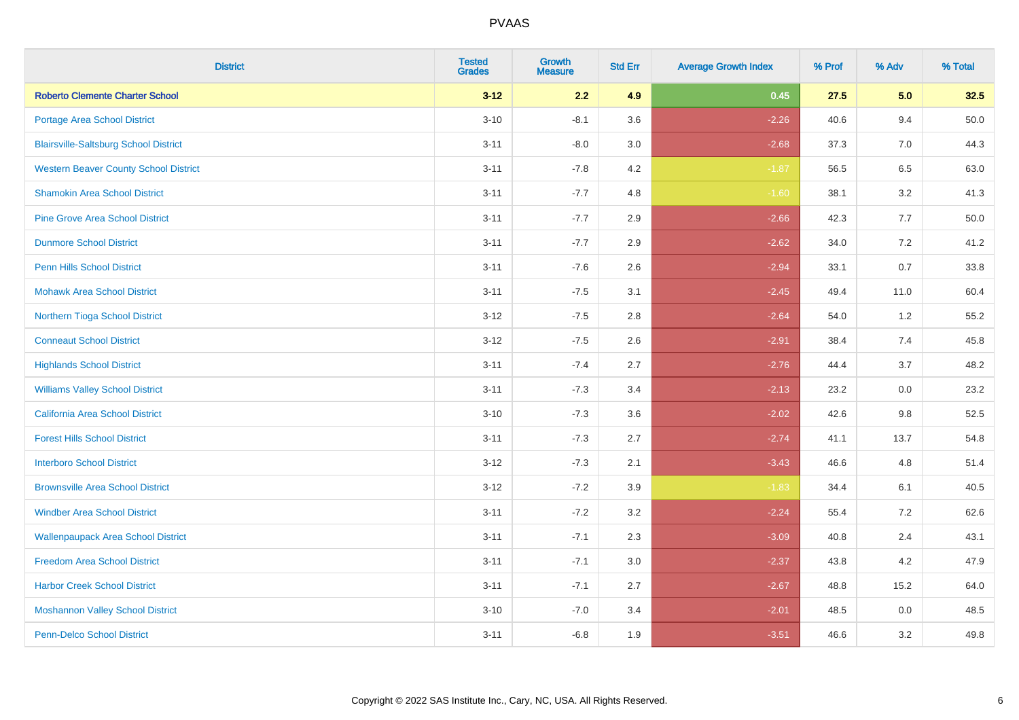| <b>District</b>                              | <b>Tested</b><br><b>Grades</b> | <b>Growth</b><br><b>Measure</b> | <b>Std Err</b> | <b>Average Growth Index</b> | % Prof | % Adv   | % Total  |
|----------------------------------------------|--------------------------------|---------------------------------|----------------|-----------------------------|--------|---------|----------|
| <b>Roberto Clemente Charter School</b>       | $3 - 12$                       | 2.2                             | 4.9            | 0.45                        | 27.5   | 5.0     | 32.5     |
| Portage Area School District                 | $3 - 10$                       | $-8.1$                          | 3.6            | $-2.26$                     | 40.6   | 9.4     | $50.0\,$ |
| <b>Blairsville-Saltsburg School District</b> | $3 - 11$                       | $-8.0$                          | 3.0            | $-2.68$                     | 37.3   | 7.0     | 44.3     |
| <b>Western Beaver County School District</b> | $3 - 11$                       | $-7.8$                          | 4.2            | $-1.87$                     | 56.5   | 6.5     | 63.0     |
| <b>Shamokin Area School District</b>         | $3 - 11$                       | $-7.7$                          | 4.8            | $-1.60$                     | 38.1   | 3.2     | 41.3     |
| <b>Pine Grove Area School District</b>       | $3 - 11$                       | $-7.7$                          | 2.9            | $-2.66$                     | 42.3   | 7.7     | 50.0     |
| <b>Dunmore School District</b>               | $3 - 11$                       | $-7.7$                          | 2.9            | $-2.62$                     | 34.0   | 7.2     | 41.2     |
| <b>Penn Hills School District</b>            | $3 - 11$                       | $-7.6$                          | 2.6            | $-2.94$                     | 33.1   | 0.7     | 33.8     |
| <b>Mohawk Area School District</b>           | $3 - 11$                       | $-7.5$                          | 3.1            | $-2.45$                     | 49.4   | 11.0    | 60.4     |
| Northern Tioga School District               | $3 - 12$                       | $-7.5$                          | 2.8            | $-2.64$                     | 54.0   | 1.2     | 55.2     |
| <b>Conneaut School District</b>              | $3 - 12$                       | $-7.5$                          | 2.6            | $-2.91$                     | 38.4   | 7.4     | 45.8     |
| <b>Highlands School District</b>             | $3 - 11$                       | $-7.4$                          | 2.7            | $-2.76$                     | 44.4   | 3.7     | 48.2     |
| <b>Williams Valley School District</b>       | $3 - 11$                       | $-7.3$                          | 3.4            | $-2.13$                     | 23.2   | 0.0     | 23.2     |
| <b>California Area School District</b>       | $3 - 10$                       | $-7.3$                          | 3.6            | $-2.02$                     | 42.6   | 9.8     | 52.5     |
| <b>Forest Hills School District</b>          | $3 - 11$                       | $-7.3$                          | 2.7            | $-2.74$                     | 41.1   | 13.7    | 54.8     |
| <b>Interboro School District</b>             | $3 - 12$                       | $-7.3$                          | 2.1            | $-3.43$                     | 46.6   | 4.8     | 51.4     |
| <b>Brownsville Area School District</b>      | $3 - 12$                       | $-7.2$                          | 3.9            | $-1.83$                     | 34.4   | 6.1     | 40.5     |
| <b>Windber Area School District</b>          | $3 - 11$                       | $-7.2$                          | 3.2            | $-2.24$                     | 55.4   | 7.2     | 62.6     |
| <b>Wallenpaupack Area School District</b>    | $3 - 11$                       | $-7.1$                          | 2.3            | $-3.09$                     | 40.8   | 2.4     | 43.1     |
| <b>Freedom Area School District</b>          | $3 - 11$                       | $-7.1$                          | 3.0            | $-2.37$                     | 43.8   | 4.2     | 47.9     |
| <b>Harbor Creek School District</b>          | $3 - 11$                       | $-7.1$                          | 2.7            | $-2.67$                     | 48.8   | 15.2    | 64.0     |
| <b>Moshannon Valley School District</b>      | $3 - 10$                       | $-7.0$                          | 3.4            | $-2.01$                     | 48.5   | $0.0\,$ | 48.5     |
| <b>Penn-Delco School District</b>            | $3 - 11$                       | $-6.8$                          | 1.9            | $-3.51$                     | 46.6   | 3.2     | 49.8     |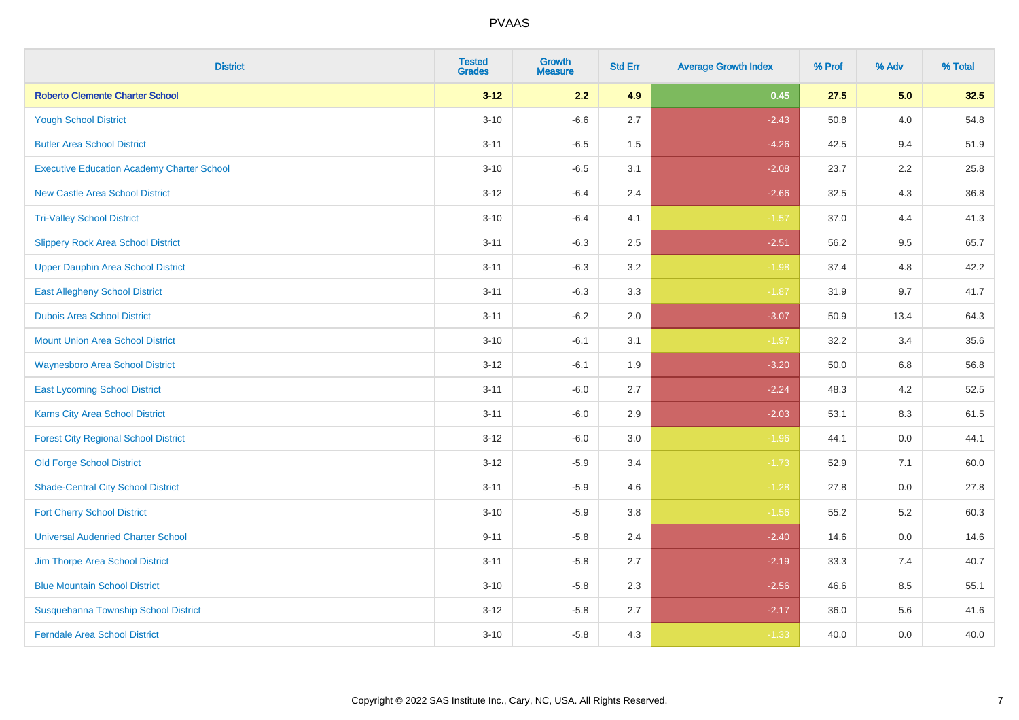| <b>District</b>                                   | <b>Tested</b><br><b>Grades</b> | <b>Growth</b><br><b>Measure</b> | <b>Std Err</b> | <b>Average Growth Index</b> | % Prof | % Adv | % Total |
|---------------------------------------------------|--------------------------------|---------------------------------|----------------|-----------------------------|--------|-------|---------|
| <b>Roberto Clemente Charter School</b>            | $3 - 12$                       | 2.2                             | 4.9            | 0.45                        | 27.5   | 5.0   | 32.5    |
| <b>Yough School District</b>                      | $3 - 10$                       | $-6.6$                          | 2.7            | $-2.43$                     | 50.8   | 4.0   | 54.8    |
| <b>Butler Area School District</b>                | $3 - 11$                       | $-6.5$                          | 1.5            | $-4.26$                     | 42.5   | 9.4   | 51.9    |
| <b>Executive Education Academy Charter School</b> | $3 - 10$                       | $-6.5$                          | 3.1            | $-2.08$                     | 23.7   | 2.2   | 25.8    |
| <b>New Castle Area School District</b>            | $3 - 12$                       | $-6.4$                          | 2.4            | $-2.66$                     | 32.5   | 4.3   | 36.8    |
| <b>Tri-Valley School District</b>                 | $3 - 10$                       | $-6.4$                          | 4.1            | $-1.57$                     | 37.0   | 4.4   | 41.3    |
| <b>Slippery Rock Area School District</b>         | $3 - 11$                       | $-6.3$                          | 2.5            | $-2.51$                     | 56.2   | 9.5   | 65.7    |
| <b>Upper Dauphin Area School District</b>         | $3 - 11$                       | $-6.3$                          | 3.2            | $-1.98$                     | 37.4   | 4.8   | 42.2    |
| <b>East Allegheny School District</b>             | $3 - 11$                       | $-6.3$                          | 3.3            | $-1.87$                     | 31.9   | 9.7   | 41.7    |
| <b>Dubois Area School District</b>                | $3 - 11$                       | $-6.2$                          | 2.0            | $-3.07$                     | 50.9   | 13.4  | 64.3    |
| <b>Mount Union Area School District</b>           | $3 - 10$                       | $-6.1$                          | 3.1            | $-1.97$                     | 32.2   | 3.4   | 35.6    |
| <b>Waynesboro Area School District</b>            | $3 - 12$                       | $-6.1$                          | 1.9            | $-3.20$                     | 50.0   | 6.8   | 56.8    |
| <b>East Lycoming School District</b>              | $3 - 11$                       | $-6.0$                          | 2.7            | $-2.24$                     | 48.3   | 4.2   | 52.5    |
| <b>Karns City Area School District</b>            | $3 - 11$                       | $-6.0$                          | 2.9            | $-2.03$                     | 53.1   | 8.3   | 61.5    |
| <b>Forest City Regional School District</b>       | $3 - 12$                       | $-6.0$                          | 3.0            | $-1.96$                     | 44.1   | 0.0   | 44.1    |
| <b>Old Forge School District</b>                  | $3-12$                         | $-5.9$                          | 3.4            | $-1.73$                     | 52.9   | 7.1   | 60.0    |
| <b>Shade-Central City School District</b>         | $3 - 11$                       | $-5.9$                          | 4.6            | $-1.28$                     | 27.8   | 0.0   | 27.8    |
| <b>Fort Cherry School District</b>                | $3 - 10$                       | $-5.9$                          | 3.8            | $-1.56$                     | 55.2   | 5.2   | 60.3    |
| <b>Universal Audenried Charter School</b>         | $9 - 11$                       | $-5.8$                          | 2.4            | $-2.40$                     | 14.6   | 0.0   | 14.6    |
| Jim Thorpe Area School District                   | $3 - 11$                       | $-5.8$                          | 2.7            | $-2.19$                     | 33.3   | 7.4   | 40.7    |
| <b>Blue Mountain School District</b>              | $3 - 10$                       | $-5.8$                          | 2.3            | $-2.56$                     | 46.6   | 8.5   | 55.1    |
| Susquehanna Township School District              | $3 - 12$                       | $-5.8$                          | 2.7            | $-2.17$                     | 36.0   | 5.6   | 41.6    |
| <b>Ferndale Area School District</b>              | $3 - 10$                       | $-5.8$                          | 4.3            | $-1.33$                     | 40.0   | 0.0   | 40.0    |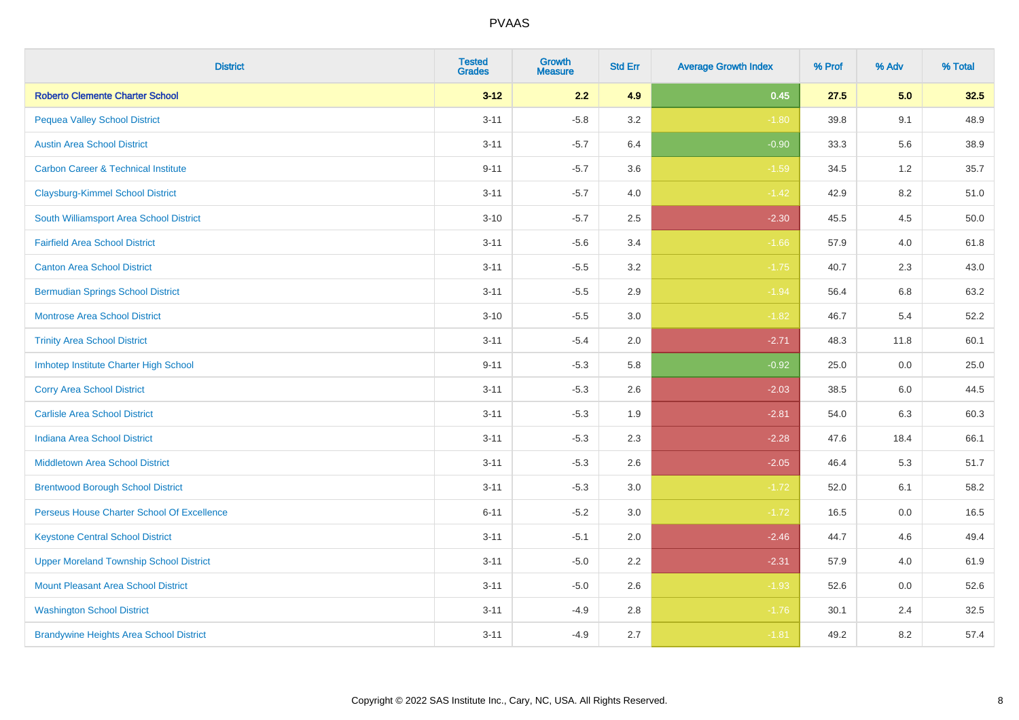| <b>District</b>                                | <b>Tested</b><br><b>Grades</b> | <b>Growth</b><br><b>Measure</b> | <b>Std Err</b> | <b>Average Growth Index</b> | % Prof | % Adv | % Total |
|------------------------------------------------|--------------------------------|---------------------------------|----------------|-----------------------------|--------|-------|---------|
| <b>Roberto Clemente Charter School</b>         | $3 - 12$                       | 2.2                             | 4.9            | 0.45                        | 27.5   | 5.0   | 32.5    |
| <b>Pequea Valley School District</b>           | $3 - 11$                       | $-5.8$                          | 3.2            | $-1.80$                     | 39.8   | 9.1   | 48.9    |
| <b>Austin Area School District</b>             | $3 - 11$                       | $-5.7$                          | 6.4            | $-0.90$                     | 33.3   | 5.6   | 38.9    |
| <b>Carbon Career &amp; Technical Institute</b> | $9 - 11$                       | $-5.7$                          | 3.6            | $-1.59$                     | 34.5   | 1.2   | 35.7    |
| <b>Claysburg-Kimmel School District</b>        | $3 - 11$                       | $-5.7$                          | 4.0            | $-1.42$                     | 42.9   | 8.2   | 51.0    |
| South Williamsport Area School District        | $3 - 10$                       | $-5.7$                          | 2.5            | $-2.30$                     | 45.5   | 4.5   | 50.0    |
| <b>Fairfield Area School District</b>          | $3 - 11$                       | $-5.6$                          | 3.4            | $-1.66$                     | 57.9   | 4.0   | 61.8    |
| <b>Canton Area School District</b>             | $3 - 11$                       | $-5.5$                          | 3.2            | $-1.75$                     | 40.7   | 2.3   | 43.0    |
| <b>Bermudian Springs School District</b>       | $3 - 11$                       | $-5.5$                          | 2.9            | $-1.94$                     | 56.4   | 6.8   | 63.2    |
| <b>Montrose Area School District</b>           | $3 - 10$                       | $-5.5$                          | 3.0            | $-1.82$                     | 46.7   | 5.4   | 52.2    |
| <b>Trinity Area School District</b>            | $3 - 11$                       | $-5.4$                          | 2.0            | $-2.71$                     | 48.3   | 11.8  | 60.1    |
| Imhotep Institute Charter High School          | $9 - 11$                       | $-5.3$                          | 5.8            | $-0.92$                     | 25.0   | 0.0   | 25.0    |
| <b>Corry Area School District</b>              | $3 - 11$                       | $-5.3$                          | 2.6            | $-2.03$                     | 38.5   | 6.0   | 44.5    |
| <b>Carlisle Area School District</b>           | $3 - 11$                       | $-5.3$                          | 1.9            | $-2.81$                     | 54.0   | 6.3   | 60.3    |
| <b>Indiana Area School District</b>            | $3 - 11$                       | $-5.3$                          | 2.3            | $-2.28$                     | 47.6   | 18.4  | 66.1    |
| <b>Middletown Area School District</b>         | $3 - 11$                       | $-5.3$                          | 2.6            | $-2.05$                     | 46.4   | 5.3   | 51.7    |
| <b>Brentwood Borough School District</b>       | $3 - 11$                       | $-5.3$                          | 3.0            | $-1.72$                     | 52.0   | 6.1   | 58.2    |
| Perseus House Charter School Of Excellence     | $6 - 11$                       | $-5.2$                          | 3.0            | $-1.72$                     | 16.5   | 0.0   | 16.5    |
| <b>Keystone Central School District</b>        | $3 - 11$                       | $-5.1$                          | 2.0            | $-2.46$                     | 44.7   | 4.6   | 49.4    |
| <b>Upper Moreland Township School District</b> | $3 - 11$                       | $-5.0$                          | 2.2            | $-2.31$                     | 57.9   | 4.0   | 61.9    |
| <b>Mount Pleasant Area School District</b>     | $3 - 11$                       | $-5.0$                          | 2.6            | $-1.93$                     | 52.6   | 0.0   | 52.6    |
| <b>Washington School District</b>              | $3 - 11$                       | $-4.9$                          | 2.8            | $-1.76$                     | 30.1   | 2.4   | 32.5    |
| <b>Brandywine Heights Area School District</b> | $3 - 11$                       | $-4.9$                          | 2.7            | $-1.81$                     | 49.2   | 8.2   | 57.4    |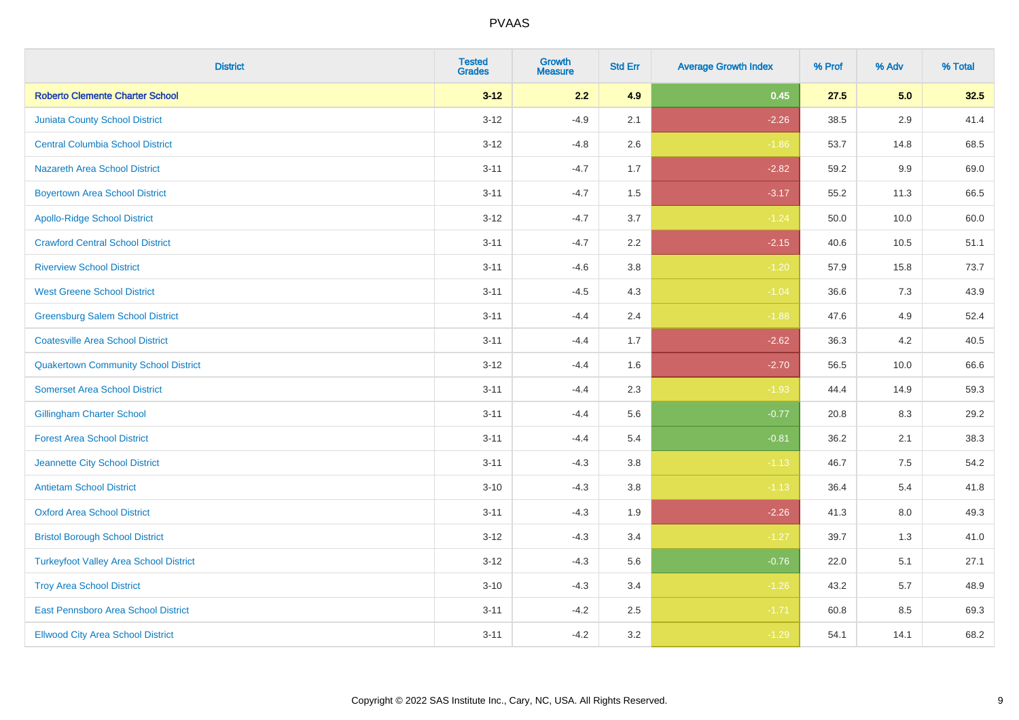| <b>District</b>                               | <b>Tested</b><br><b>Grades</b> | <b>Growth</b><br><b>Measure</b> | <b>Std Err</b> | <b>Average Growth Index</b> | % Prof | % Adv   | % Total |
|-----------------------------------------------|--------------------------------|---------------------------------|----------------|-----------------------------|--------|---------|---------|
| <b>Roberto Clemente Charter School</b>        | $3 - 12$                       | 2.2                             | 4.9            | 0.45                        | 27.5   | 5.0     | 32.5    |
| <b>Juniata County School District</b>         | $3 - 12$                       | $-4.9$                          | 2.1            | $-2.26$                     | 38.5   | 2.9     | 41.4    |
| <b>Central Columbia School District</b>       | $3 - 12$                       | $-4.8$                          | 2.6            | $-1.86$                     | 53.7   | 14.8    | 68.5    |
| <b>Nazareth Area School District</b>          | $3 - 11$                       | $-4.7$                          | 1.7            | $-2.82$                     | 59.2   | 9.9     | 69.0    |
| <b>Boyertown Area School District</b>         | $3 - 11$                       | $-4.7$                          | 1.5            | $-3.17$                     | 55.2   | 11.3    | 66.5    |
| <b>Apollo-Ridge School District</b>           | $3 - 12$                       | $-4.7$                          | 3.7            | $-1.24$                     | 50.0   | 10.0    | 60.0    |
| <b>Crawford Central School District</b>       | $3 - 11$                       | $-4.7$                          | 2.2            | $-2.15$                     | 40.6   | 10.5    | 51.1    |
| <b>Riverview School District</b>              | $3 - 11$                       | $-4.6$                          | 3.8            | $-1.20$                     | 57.9   | 15.8    | 73.7    |
| <b>West Greene School District</b>            | $3 - 11$                       | $-4.5$                          | 4.3            | $-1.04$                     | 36.6   | 7.3     | 43.9    |
| <b>Greensburg Salem School District</b>       | $3 - 11$                       | $-4.4$                          | 2.4            | $-1.88$                     | 47.6   | 4.9     | 52.4    |
| <b>Coatesville Area School District</b>       | $3 - 11$                       | $-4.4$                          | 1.7            | $-2.62$                     | 36.3   | 4.2     | 40.5    |
| <b>Quakertown Community School District</b>   | $3 - 12$                       | $-4.4$                          | 1.6            | $-2.70$                     | 56.5   | 10.0    | 66.6    |
| <b>Somerset Area School District</b>          | $3 - 11$                       | $-4.4$                          | 2.3            | $-1.93$                     | 44.4   | 14.9    | 59.3    |
| <b>Gillingham Charter School</b>              | $3 - 11$                       | $-4.4$                          | 5.6            | $-0.77$                     | 20.8   | 8.3     | 29.2    |
| <b>Forest Area School District</b>            | $3 - 11$                       | $-4.4$                          | 5.4            | $-0.81$                     | 36.2   | 2.1     | 38.3    |
| Jeannette City School District                | $3 - 11$                       | $-4.3$                          | 3.8            | $-1.13$                     | 46.7   | $7.5\,$ | 54.2    |
| <b>Antietam School District</b>               | $3 - 10$                       | $-4.3$                          | 3.8            | $-1.13$                     | 36.4   | 5.4     | 41.8    |
| <b>Oxford Area School District</b>            | $3 - 11$                       | $-4.3$                          | 1.9            | $-2.26$                     | 41.3   | 8.0     | 49.3    |
| <b>Bristol Borough School District</b>        | $3 - 12$                       | $-4.3$                          | 3.4            | $-1.27$                     | 39.7   | 1.3     | 41.0    |
| <b>Turkeyfoot Valley Area School District</b> | $3 - 12$                       | $-4.3$                          | 5.6            | $-0.76$                     | 22.0   | 5.1     | 27.1    |
| <b>Troy Area School District</b>              | $3 - 10$                       | $-4.3$                          | 3.4            | $-1.26$                     | 43.2   | 5.7     | 48.9    |
| East Pennsboro Area School District           | $3 - 11$                       | $-4.2$                          | 2.5            | $-1.71$                     | 60.8   | 8.5     | 69.3    |
| <b>Ellwood City Area School District</b>      | $3 - 11$                       | $-4.2$                          | 3.2            | $-1.29$                     | 54.1   | 14.1    | 68.2    |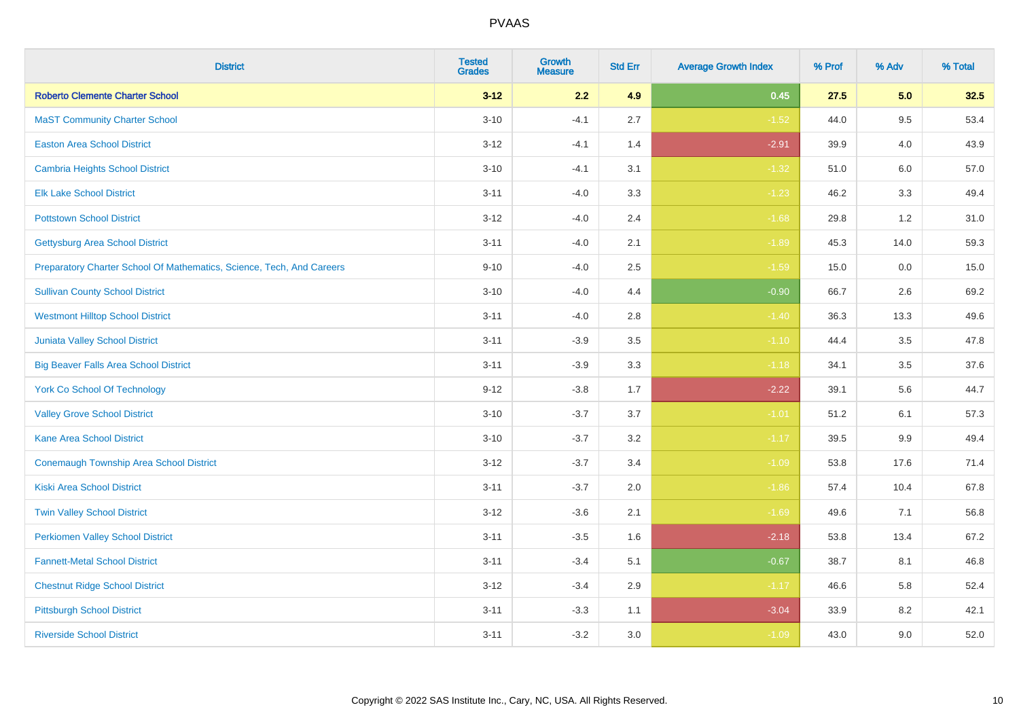| <b>District</b>                                                       | <b>Tested</b><br><b>Grades</b> | <b>Growth</b><br><b>Measure</b> | <b>Std Err</b> | <b>Average Growth Index</b> | % Prof | % Adv   | % Total |
|-----------------------------------------------------------------------|--------------------------------|---------------------------------|----------------|-----------------------------|--------|---------|---------|
| <b>Roberto Clemente Charter School</b>                                | $3 - 12$                       | 2.2                             | 4.9            | 0.45                        | 27.5   | 5.0     | 32.5    |
| <b>MaST Community Charter School</b>                                  | $3 - 10$                       | $-4.1$                          | 2.7            | $-1.52$                     | 44.0   | 9.5     | 53.4    |
| <b>Easton Area School District</b>                                    | $3 - 12$                       | $-4.1$                          | 1.4            | $-2.91$                     | 39.9   | 4.0     | 43.9    |
| <b>Cambria Heights School District</b>                                | $3 - 10$                       | $-4.1$                          | 3.1            | $-1.32$                     | 51.0   | $6.0\,$ | 57.0    |
| <b>Elk Lake School District</b>                                       | $3 - 11$                       | $-4.0$                          | 3.3            | $-1.23$                     | 46.2   | 3.3     | 49.4    |
| <b>Pottstown School District</b>                                      | $3 - 12$                       | $-4.0$                          | 2.4            | $-1.68$                     | 29.8   | 1.2     | 31.0    |
| <b>Gettysburg Area School District</b>                                | $3 - 11$                       | $-4.0$                          | 2.1            | $-1.89$                     | 45.3   | 14.0    | 59.3    |
| Preparatory Charter School Of Mathematics, Science, Tech, And Careers | $9 - 10$                       | $-4.0$                          | 2.5            | $-1.59$                     | 15.0   | 0.0     | 15.0    |
| <b>Sullivan County School District</b>                                | $3 - 10$                       | $-4.0$                          | 4.4            | $-0.90$                     | 66.7   | 2.6     | 69.2    |
| <b>Westmont Hilltop School District</b>                               | $3 - 11$                       | $-4.0$                          | 2.8            | $-1.40$                     | 36.3   | 13.3    | 49.6    |
| <b>Juniata Valley School District</b>                                 | $3 - 11$                       | $-3.9$                          | 3.5            | $-1.10$                     | 44.4   | 3.5     | 47.8    |
| <b>Big Beaver Falls Area School District</b>                          | $3 - 11$                       | $-3.9$                          | 3.3            | $-1.18$                     | 34.1   | 3.5     | 37.6    |
| <b>York Co School Of Technology</b>                                   | $9 - 12$                       | $-3.8$                          | 1.7            | $-2.22$                     | 39.1   | 5.6     | 44.7    |
| <b>Valley Grove School District</b>                                   | $3 - 10$                       | $-3.7$                          | 3.7            | $-1.01$                     | 51.2   | 6.1     | 57.3    |
| <b>Kane Area School District</b>                                      | $3 - 10$                       | $-3.7$                          | 3.2            | $-1.17$                     | 39.5   | 9.9     | 49.4    |
| <b>Conemaugh Township Area School District</b>                        | $3 - 12$                       | $-3.7$                          | 3.4            | $-1.09$                     | 53.8   | 17.6    | 71.4    |
| <b>Kiski Area School District</b>                                     | $3 - 11$                       | $-3.7$                          | 2.0            | $-1.86$                     | 57.4   | 10.4    | 67.8    |
| <b>Twin Valley School District</b>                                    | $3 - 12$                       | $-3.6$                          | 2.1            | $-1.69$                     | 49.6   | 7.1     | 56.8    |
| <b>Perkiomen Valley School District</b>                               | $3 - 11$                       | $-3.5$                          | 1.6            | $-2.18$                     | 53.8   | 13.4    | 67.2    |
| <b>Fannett-Metal School District</b>                                  | $3 - 11$                       | $-3.4$                          | 5.1            | $-0.67$                     | 38.7   | 8.1     | 46.8    |
| <b>Chestnut Ridge School District</b>                                 | $3 - 12$                       | $-3.4$                          | 2.9            | $-1.17$                     | 46.6   | 5.8     | 52.4    |
| <b>Pittsburgh School District</b>                                     | $3 - 11$                       | $-3.3$                          | 1.1            | $-3.04$                     | 33.9   | 8.2     | 42.1    |
| <b>Riverside School District</b>                                      | $3 - 11$                       | $-3.2$                          | 3.0            | $-1.09$                     | 43.0   | 9.0     | 52.0    |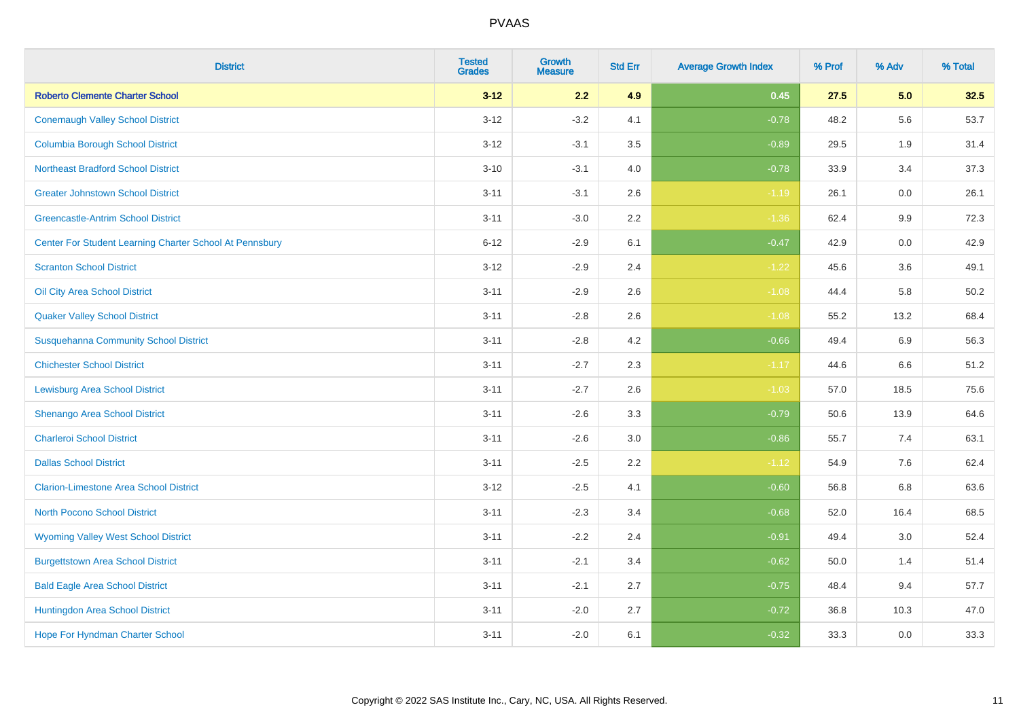| <b>District</b>                                         | <b>Tested</b><br><b>Grades</b> | <b>Growth</b><br><b>Measure</b> | <b>Std Err</b> | <b>Average Growth Index</b> | % Prof | % Adv   | % Total |
|---------------------------------------------------------|--------------------------------|---------------------------------|----------------|-----------------------------|--------|---------|---------|
| <b>Roberto Clemente Charter School</b>                  | $3 - 12$                       | 2.2                             | 4.9            | 0.45                        | 27.5   | 5.0     | 32.5    |
| <b>Conemaugh Valley School District</b>                 | $3 - 12$                       | $-3.2$                          | 4.1            | $-0.78$                     | 48.2   | 5.6     | 53.7    |
| <b>Columbia Borough School District</b>                 | $3 - 12$                       | $-3.1$                          | 3.5            | $-0.89$                     | 29.5   | 1.9     | 31.4    |
| <b>Northeast Bradford School District</b>               | $3 - 10$                       | $-3.1$                          | 4.0            | $-0.78$                     | 33.9   | 3.4     | 37.3    |
| <b>Greater Johnstown School District</b>                | $3 - 11$                       | $-3.1$                          | 2.6            | $-1.19$                     | 26.1   | 0.0     | 26.1    |
| <b>Greencastle-Antrim School District</b>               | $3 - 11$                       | $-3.0$                          | 2.2            | $-1.36$                     | 62.4   | 9.9     | 72.3    |
| Center For Student Learning Charter School At Pennsbury | $6 - 12$                       | $-2.9$                          | 6.1            | $-0.47$                     | 42.9   | 0.0     | 42.9    |
| <b>Scranton School District</b>                         | $3 - 12$                       | $-2.9$                          | 2.4            | $-1.22$                     | 45.6   | 3.6     | 49.1    |
| Oil City Area School District                           | $3 - 11$                       | $-2.9$                          | 2.6            | $-1.08$                     | 44.4   | 5.8     | 50.2    |
| <b>Quaker Valley School District</b>                    | $3 - 11$                       | $-2.8$                          | 2.6            | $-1.08$                     | 55.2   | 13.2    | 68.4    |
| <b>Susquehanna Community School District</b>            | $3 - 11$                       | $-2.8$                          | 4.2            | $-0.66$                     | 49.4   | 6.9     | 56.3    |
| <b>Chichester School District</b>                       | $3 - 11$                       | $-2.7$                          | 2.3            | $-1.17$                     | 44.6   | 6.6     | 51.2    |
| <b>Lewisburg Area School District</b>                   | $3 - 11$                       | $-2.7$                          | 2.6            | $-1.03$                     | 57.0   | 18.5    | 75.6    |
| Shenango Area School District                           | $3 - 11$                       | $-2.6$                          | 3.3            | $-0.79$                     | 50.6   | 13.9    | 64.6    |
| <b>Charleroi School District</b>                        | $3 - 11$                       | $-2.6$                          | 3.0            | $-0.86$                     | 55.7   | 7.4     | 63.1    |
| <b>Dallas School District</b>                           | $3 - 11$                       | $-2.5$                          | 2.2            | $-1.12$                     | 54.9   | $7.6\,$ | 62.4    |
| <b>Clarion-Limestone Area School District</b>           | $3 - 12$                       | $-2.5$                          | 4.1            | $-0.60$                     | 56.8   | 6.8     | 63.6    |
| North Pocono School District                            | $3 - 11$                       | $-2.3$                          | 3.4            | $-0.68$                     | 52.0   | 16.4    | 68.5    |
| <b>Wyoming Valley West School District</b>              | $3 - 11$                       | $-2.2$                          | 2.4            | $-0.91$                     | 49.4   | 3.0     | 52.4    |
| <b>Burgettstown Area School District</b>                | $3 - 11$                       | $-2.1$                          | 3.4            | $-0.62$                     | 50.0   | 1.4     | 51.4    |
| <b>Bald Eagle Area School District</b>                  | $3 - 11$                       | $-2.1$                          | 2.7            | $-0.75$                     | 48.4   | 9.4     | 57.7    |
| Huntingdon Area School District                         | $3 - 11$                       | $-2.0$                          | 2.7            | $-0.72$                     | 36.8   | 10.3    | 47.0    |
| <b>Hope For Hyndman Charter School</b>                  | $3 - 11$                       | $-2.0$                          | 6.1            | $-0.32$                     | 33.3   | 0.0     | 33.3    |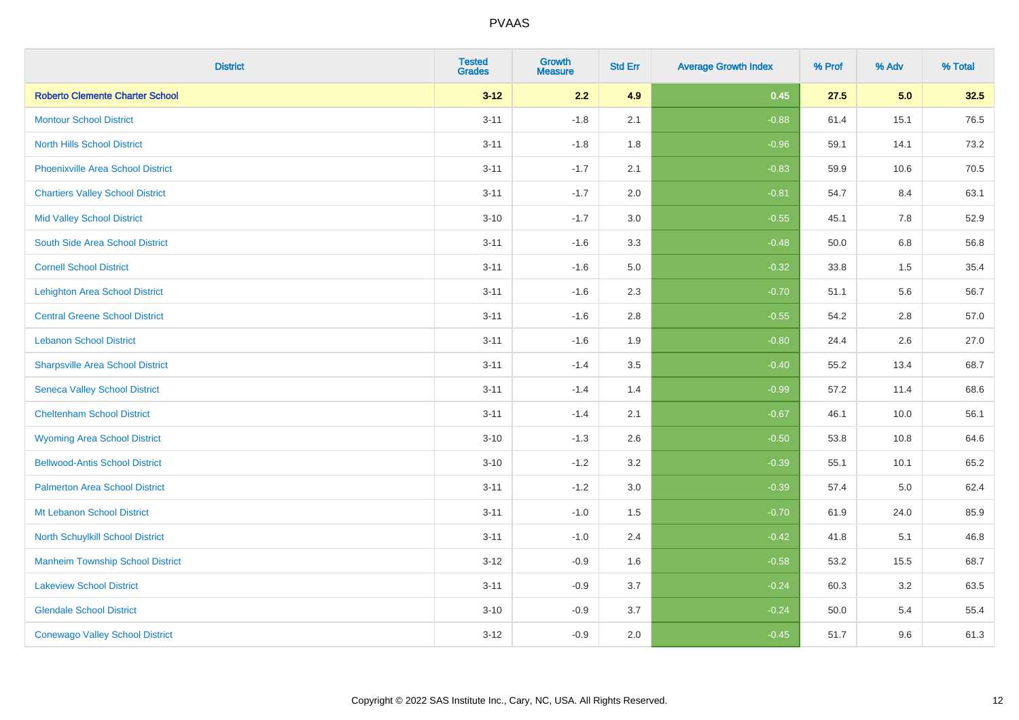| <b>District</b>                          | <b>Tested</b><br><b>Grades</b> | <b>Growth</b><br><b>Measure</b> | <b>Std Err</b> | <b>Average Growth Index</b> | % Prof | % Adv   | % Total |
|------------------------------------------|--------------------------------|---------------------------------|----------------|-----------------------------|--------|---------|---------|
| <b>Roberto Clemente Charter School</b>   | $3 - 12$                       | 2.2                             | 4.9            | 0.45                        | 27.5   | 5.0     | 32.5    |
| <b>Montour School District</b>           | $3 - 11$                       | $-1.8$                          | 2.1            | $-0.88$                     | 61.4   | 15.1    | 76.5    |
| <b>North Hills School District</b>       | $3 - 11$                       | $-1.8$                          | 1.8            | $-0.96$                     | 59.1   | 14.1    | 73.2    |
| <b>Phoenixville Area School District</b> | $3 - 11$                       | $-1.7$                          | 2.1            | $-0.83$                     | 59.9   | 10.6    | 70.5    |
| <b>Chartiers Valley School District</b>  | $3 - 11$                       | $-1.7$                          | 2.0            | $-0.81$                     | 54.7   | 8.4     | 63.1    |
| <b>Mid Valley School District</b>        | $3 - 10$                       | $-1.7$                          | 3.0            | $-0.55$                     | 45.1   | 7.8     | 52.9    |
| South Side Area School District          | $3 - 11$                       | $-1.6$                          | 3.3            | $-0.48$                     | 50.0   | $6.8\,$ | 56.8    |
| <b>Cornell School District</b>           | $3 - 11$                       | $-1.6$                          | 5.0            | $-0.32$                     | 33.8   | 1.5     | 35.4    |
| <b>Lehighton Area School District</b>    | $3 - 11$                       | $-1.6$                          | 2.3            | $-0.70$                     | 51.1   | 5.6     | 56.7    |
| <b>Central Greene School District</b>    | $3 - 11$                       | $-1.6$                          | 2.8            | $-0.55$                     | 54.2   | 2.8     | 57.0    |
| <b>Lebanon School District</b>           | $3 - 11$                       | $-1.6$                          | 1.9            | $-0.80$                     | 24.4   | 2.6     | 27.0    |
| <b>Sharpsville Area School District</b>  | $3 - 11$                       | $-1.4$                          | 3.5            | $-0.40$                     | 55.2   | 13.4    | 68.7    |
| <b>Seneca Valley School District</b>     | $3 - 11$                       | $-1.4$                          | 1.4            | $-0.99$                     | 57.2   | 11.4    | 68.6    |
| <b>Cheltenham School District</b>        | $3 - 11$                       | $-1.4$                          | 2.1            | $-0.67$                     | 46.1   | 10.0    | 56.1    |
| <b>Wyoming Area School District</b>      | $3 - 10$                       | $-1.3$                          | 2.6            | $-0.50$                     | 53.8   | 10.8    | 64.6    |
| <b>Bellwood-Antis School District</b>    | $3 - 10$                       | $-1.2$                          | 3.2            | $-0.39$                     | 55.1   | 10.1    | 65.2    |
| <b>Palmerton Area School District</b>    | $3 - 11$                       | $-1.2$                          | 3.0            | $-0.39$                     | 57.4   | 5.0     | 62.4    |
| Mt Lebanon School District               | $3 - 11$                       | $-1.0$                          | 1.5            | $-0.70$                     | 61.9   | 24.0    | 85.9    |
| <b>North Schuylkill School District</b>  | $3 - 11$                       | $-1.0$                          | 2.4            | $-0.42$                     | 41.8   | 5.1     | 46.8    |
| <b>Manheim Township School District</b>  | $3 - 12$                       | $-0.9$                          | 1.6            | $-0.58$                     | 53.2   | 15.5    | 68.7    |
| <b>Lakeview School District</b>          | $3 - 11$                       | $-0.9$                          | 3.7            | $-0.24$                     | 60.3   | 3.2     | 63.5    |
| <b>Glendale School District</b>          | $3 - 10$                       | $-0.9$                          | 3.7            | $-0.24$                     | 50.0   | 5.4     | 55.4    |
| <b>Conewago Valley School District</b>   | $3-12$                         | $-0.9$                          | 2.0            | $-0.45$                     | 51.7   | 9.6     | 61.3    |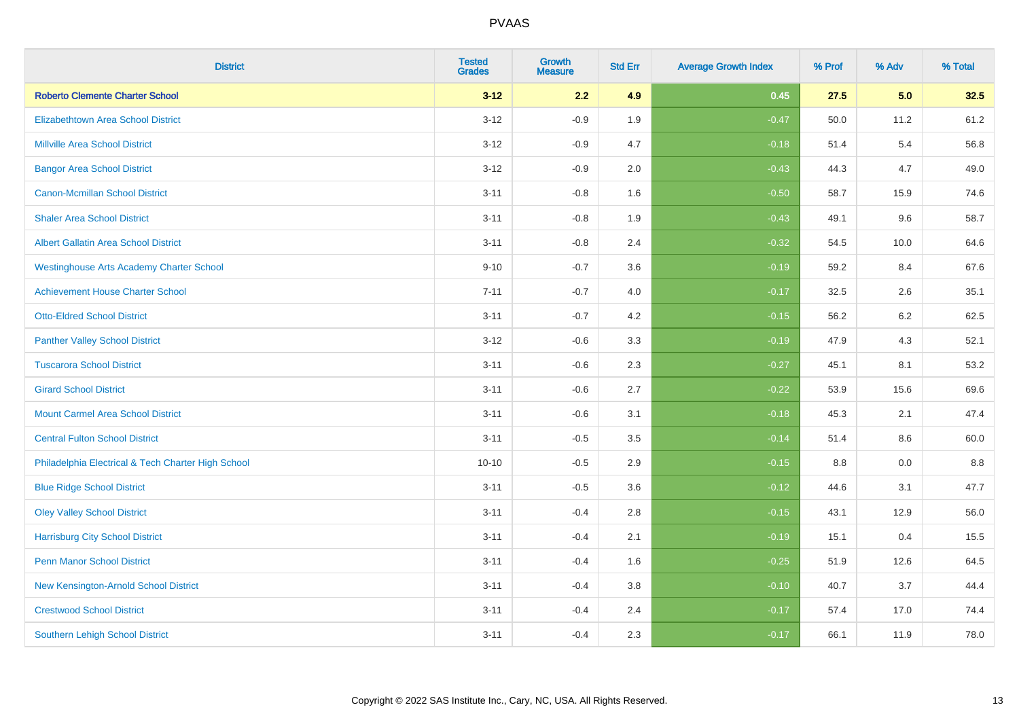| <b>District</b>                                    | <b>Tested</b><br><b>Grades</b> | <b>Growth</b><br><b>Measure</b> | <b>Std Err</b> | <b>Average Growth Index</b> | % Prof | % Adv   | % Total |
|----------------------------------------------------|--------------------------------|---------------------------------|----------------|-----------------------------|--------|---------|---------|
| <b>Roberto Clemente Charter School</b>             | $3 - 12$                       | 2.2                             | 4.9            | 0.45                        | 27.5   | 5.0     | 32.5    |
| <b>Elizabethtown Area School District</b>          | $3 - 12$                       | $-0.9$                          | 1.9            | $-0.47$                     | 50.0   | 11.2    | 61.2    |
| <b>Millville Area School District</b>              | $3 - 12$                       | $-0.9$                          | 4.7            | $-0.18$                     | 51.4   | 5.4     | 56.8    |
| <b>Bangor Area School District</b>                 | $3 - 12$                       | $-0.9$                          | 2.0            | $-0.43$                     | 44.3   | 4.7     | 49.0    |
| <b>Canon-Mcmillan School District</b>              | $3 - 11$                       | $-0.8$                          | 1.6            | $-0.50$                     | 58.7   | 15.9    | 74.6    |
| <b>Shaler Area School District</b>                 | $3 - 11$                       | $-0.8$                          | 1.9            | $-0.43$                     | 49.1   | 9.6     | 58.7    |
| <b>Albert Gallatin Area School District</b>        | $3 - 11$                       | $-0.8$                          | 2.4            | $-0.32$                     | 54.5   | 10.0    | 64.6    |
| <b>Westinghouse Arts Academy Charter School</b>    | $9 - 10$                       | $-0.7$                          | 3.6            | $-0.19$                     | 59.2   | 8.4     | 67.6    |
| <b>Achievement House Charter School</b>            | $7 - 11$                       | $-0.7$                          | 4.0            | $-0.17$                     | 32.5   | 2.6     | 35.1    |
| <b>Otto-Eldred School District</b>                 | $3 - 11$                       | $-0.7$                          | 4.2            | $-0.15$                     | 56.2   | 6.2     | 62.5    |
| <b>Panther Valley School District</b>              | $3 - 12$                       | $-0.6$                          | 3.3            | $-0.19$                     | 47.9   | 4.3     | 52.1    |
| <b>Tuscarora School District</b>                   | $3 - 11$                       | $-0.6$                          | 2.3            | $-0.27$                     | 45.1   | 8.1     | 53.2    |
| <b>Girard School District</b>                      | $3 - 11$                       | $-0.6$                          | 2.7            | $-0.22$                     | 53.9   | 15.6    | 69.6    |
| <b>Mount Carmel Area School District</b>           | $3 - 11$                       | $-0.6$                          | 3.1            | $-0.18$                     | 45.3   | 2.1     | 47.4    |
| <b>Central Fulton School District</b>              | $3 - 11$                       | $-0.5$                          | 3.5            | $-0.14$                     | 51.4   | 8.6     | 60.0    |
| Philadelphia Electrical & Tech Charter High School | $10 - 10$                      | $-0.5$                          | 2.9            | $-0.15$                     | 8.8    | $0.0\,$ | $8.8\,$ |
| <b>Blue Ridge School District</b>                  | $3 - 11$                       | $-0.5$                          | 3.6            | $-0.12$                     | 44.6   | 3.1     | 47.7    |
| <b>Oley Valley School District</b>                 | $3 - 11$                       | $-0.4$                          | 2.8            | $-0.15$                     | 43.1   | 12.9    | 56.0    |
| <b>Harrisburg City School District</b>             | $3 - 11$                       | $-0.4$                          | 2.1            | $-0.19$                     | 15.1   | 0.4     | 15.5    |
| <b>Penn Manor School District</b>                  | $3 - 11$                       | $-0.4$                          | 1.6            | $-0.25$                     | 51.9   | 12.6    | 64.5    |
| New Kensington-Arnold School District              | $3 - 11$                       | $-0.4$                          | 3.8            | $-0.10$                     | 40.7   | 3.7     | 44.4    |
| <b>Crestwood School District</b>                   | $3 - 11$                       | $-0.4$                          | 2.4            | $-0.17$                     | 57.4   | 17.0    | 74.4    |
| <b>Southern Lehigh School District</b>             | $3 - 11$                       | $-0.4$                          | 2.3            | $-0.17$                     | 66.1   | 11.9    | 78.0    |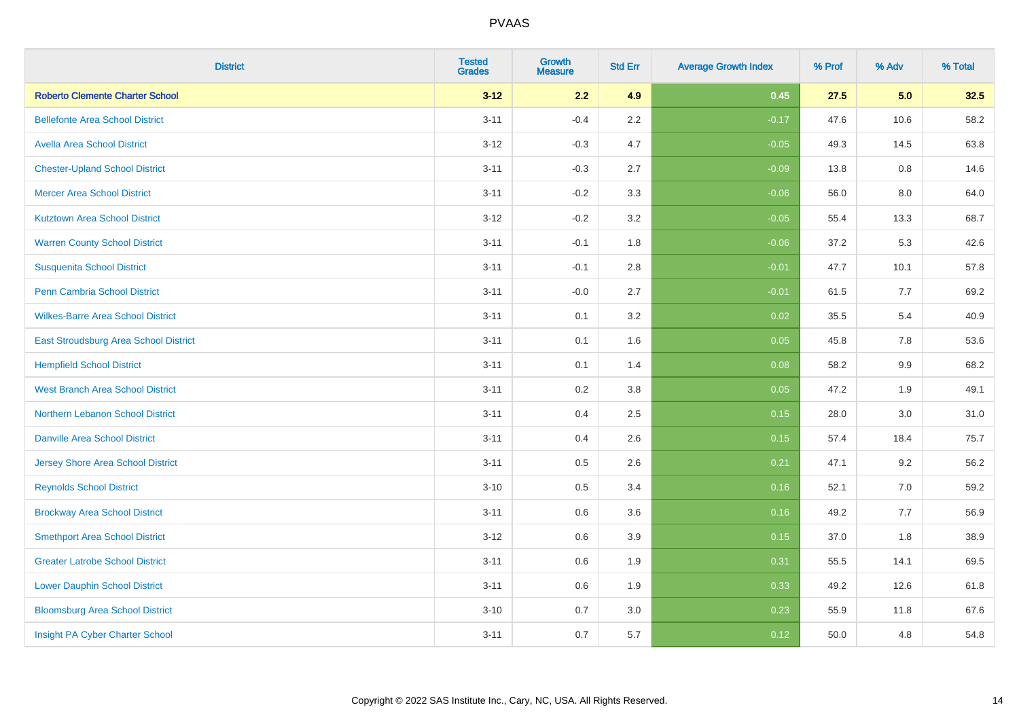| <b>District</b>                          | <b>Tested</b><br><b>Grades</b> | <b>Growth</b><br><b>Measure</b> | <b>Std Err</b> | <b>Average Growth Index</b> | % Prof | % Adv | % Total |
|------------------------------------------|--------------------------------|---------------------------------|----------------|-----------------------------|--------|-------|---------|
| <b>Roberto Clemente Charter School</b>   | $3 - 12$                       | 2.2                             | 4.9            | 0.45                        | 27.5   | 5.0   | 32.5    |
| <b>Bellefonte Area School District</b>   | $3 - 11$                       | $-0.4$                          | $2.2\,$        | $-0.17$                     | 47.6   | 10.6  | 58.2    |
| <b>Avella Area School District</b>       | $3 - 12$                       | $-0.3$                          | 4.7            | $-0.05$                     | 49.3   | 14.5  | 63.8    |
| <b>Chester-Upland School District</b>    | $3 - 11$                       | $-0.3$                          | 2.7            | $-0.09$                     | 13.8   | 0.8   | 14.6    |
| <b>Mercer Area School District</b>       | $3 - 11$                       | $-0.2$                          | 3.3            | $-0.06$                     | 56.0   | 8.0   | 64.0    |
| <b>Kutztown Area School District</b>     | $3 - 12$                       | $-0.2$                          | 3.2            | $-0.05$                     | 55.4   | 13.3  | 68.7    |
| <b>Warren County School District</b>     | $3 - 11$                       | $-0.1$                          | 1.8            | $-0.06$                     | 37.2   | 5.3   | 42.6    |
| <b>Susquenita School District</b>        | $3 - 11$                       | $-0.1$                          | $2.8\,$        | $-0.01$                     | 47.7   | 10.1  | 57.8    |
| Penn Cambria School District             | $3 - 11$                       | $-0.0$                          | 2.7            | $-0.01$                     | 61.5   | 7.7   | 69.2    |
| <b>Wilkes-Barre Area School District</b> | $3 - 11$                       | 0.1                             | 3.2            | 0.02                        | 35.5   | 5.4   | 40.9    |
| East Stroudsburg Area School District    | $3 - 11$                       | 0.1                             | 1.6            | 0.05                        | 45.8   | 7.8   | 53.6    |
| <b>Hempfield School District</b>         | $3 - 11$                       | 0.1                             | 1.4            | 0.08                        | 58.2   | 9.9   | 68.2    |
| <b>West Branch Area School District</b>  | $3 - 11$                       | 0.2                             | $3.8\,$        | 0.05                        | 47.2   | 1.9   | 49.1    |
| Northern Lebanon School District         | $3 - 11$                       | 0.4                             | 2.5            | 0.15                        | 28.0   | 3.0   | 31.0    |
| <b>Danville Area School District</b>     | $3 - 11$                       | 0.4                             | 2.6            | 0.15                        | 57.4   | 18.4  | 75.7    |
| <b>Jersey Shore Area School District</b> | $3 - 11$                       | 0.5                             | 2.6            | 0.21                        | 47.1   | 9.2   | 56.2    |
| <b>Reynolds School District</b>          | $3 - 10$                       | 0.5                             | 3.4            | 0.16                        | 52.1   | 7.0   | 59.2    |
| <b>Brockway Area School District</b>     | $3 - 11$                       | 0.6                             | 3.6            | 0.16                        | 49.2   | 7.7   | 56.9    |
| <b>Smethport Area School District</b>    | $3 - 12$                       | 0.6                             | 3.9            | 0.15                        | 37.0   | 1.8   | 38.9    |
| <b>Greater Latrobe School District</b>   | $3 - 11$                       | 0.6                             | 1.9            | 0.31                        | 55.5   | 14.1  | 69.5    |
| <b>Lower Dauphin School District</b>     | $3 - 11$                       | 0.6                             | 1.9            | 0.33                        | 49.2   | 12.6  | 61.8    |
| <b>Bloomsburg Area School District</b>   | $3 - 10$                       | 0.7                             | 3.0            | 0.23                        | 55.9   | 11.8  | 67.6    |
| Insight PA Cyber Charter School          | $3 - 11$                       | 0.7                             | 5.7            | 0.12                        | 50.0   | 4.8   | 54.8    |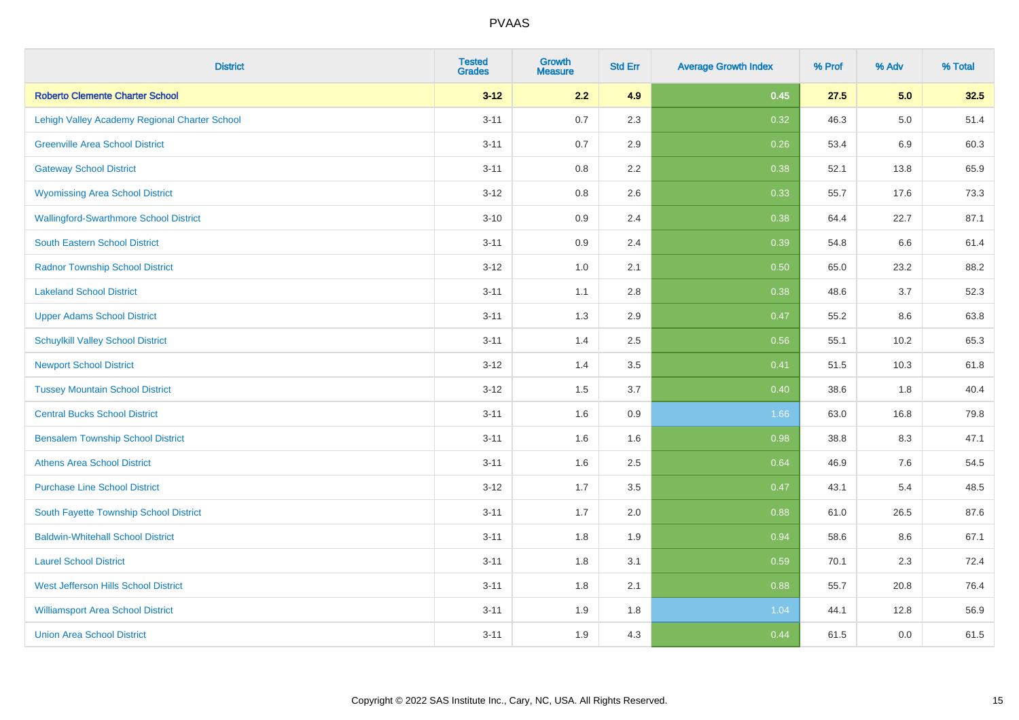| <b>District</b>                               | <b>Tested</b><br><b>Grades</b> | <b>Growth</b><br><b>Measure</b> | <b>Std Err</b> | <b>Average Growth Index</b> | % Prof | % Adv   | % Total |
|-----------------------------------------------|--------------------------------|---------------------------------|----------------|-----------------------------|--------|---------|---------|
| <b>Roberto Clemente Charter School</b>        | $3 - 12$                       | 2.2                             | 4.9            | 0.45                        | 27.5   | 5.0     | 32.5    |
| Lehigh Valley Academy Regional Charter School | $3 - 11$                       | 0.7                             | 2.3            | 0.32                        | 46.3   | $5.0\,$ | 51.4    |
| <b>Greenville Area School District</b>        | $3 - 11$                       | 0.7                             | 2.9            | 0.26                        | 53.4   | 6.9     | 60.3    |
| <b>Gateway School District</b>                | $3 - 11$                       | 0.8                             | 2.2            | 0.38                        | 52.1   | 13.8    | 65.9    |
| <b>Wyomissing Area School District</b>        | $3 - 12$                       | 0.8                             | 2.6            | 0.33                        | 55.7   | 17.6    | 73.3    |
| <b>Wallingford-Swarthmore School District</b> | $3 - 10$                       | 0.9                             | 2.4            | 0.38                        | 64.4   | 22.7    | 87.1    |
| South Eastern School District                 | $3 - 11$                       | 0.9                             | 2.4            | 0.39                        | 54.8   | 6.6     | 61.4    |
| <b>Radnor Township School District</b>        | $3 - 12$                       | 1.0                             | 2.1            | 0.50                        | 65.0   | 23.2    | 88.2    |
| <b>Lakeland School District</b>               | $3 - 11$                       | 1.1                             | 2.8            | 0.38                        | 48.6   | 3.7     | 52.3    |
| <b>Upper Adams School District</b>            | $3 - 11$                       | 1.3                             | 2.9            | 0.47                        | 55.2   | 8.6     | 63.8    |
| <b>Schuylkill Valley School District</b>      | $3 - 11$                       | 1.4                             | 2.5            | 0.56                        | 55.1   | 10.2    | 65.3    |
| <b>Newport School District</b>                | $3 - 12$                       | 1.4                             | 3.5            | 0.41                        | 51.5   | 10.3    | 61.8    |
| <b>Tussey Mountain School District</b>        | $3 - 12$                       | 1.5                             | 3.7            | 0.40                        | 38.6   | $1.8\,$ | 40.4    |
| <b>Central Bucks School District</b>          | $3 - 11$                       | 1.6                             | 0.9            | 1.66                        | 63.0   | 16.8    | 79.8    |
| <b>Bensalem Township School District</b>      | $3 - 11$                       | 1.6                             | 1.6            | 0.98                        | 38.8   | 8.3     | 47.1    |
| <b>Athens Area School District</b>            | $3 - 11$                       | 1.6                             | 2.5            | 0.64                        | 46.9   | 7.6     | 54.5    |
| <b>Purchase Line School District</b>          | $3 - 12$                       | 1.7                             | 3.5            | 0.47                        | 43.1   | 5.4     | 48.5    |
| South Fayette Township School District        | $3 - 11$                       | 1.7                             | 2.0            | 0.88                        | 61.0   | 26.5    | 87.6    |
| <b>Baldwin-Whitehall School District</b>      | $3 - 11$                       | 1.8                             | 1.9            | 0.94                        | 58.6   | 8.6     | 67.1    |
| <b>Laurel School District</b>                 | $3 - 11$                       | 1.8                             | 3.1            | 0.59                        | 70.1   | 2.3     | 72.4    |
| West Jefferson Hills School District          | $3 - 11$                       | 1.8                             | 2.1            | 0.88                        | 55.7   | 20.8    | 76.4    |
| <b>Williamsport Area School District</b>      | $3 - 11$                       | 1.9                             | 1.8            | 1.04                        | 44.1   | 12.8    | 56.9    |
| <b>Union Area School District</b>             | $3 - 11$                       | 1.9                             | 4.3            | 0.44                        | 61.5   | 0.0     | 61.5    |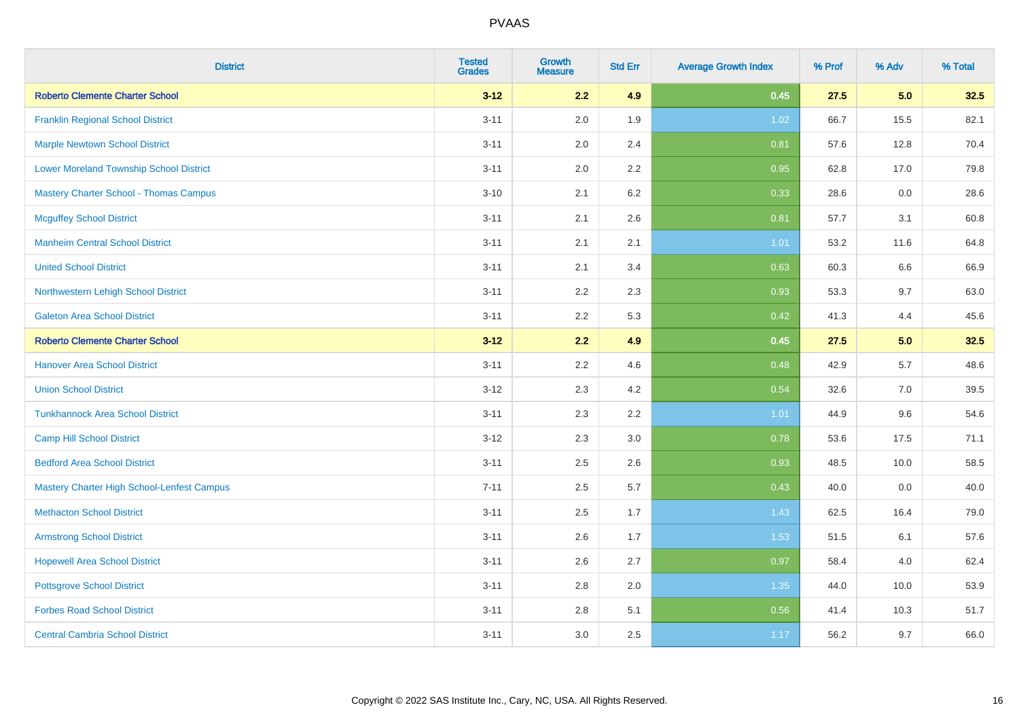| <b>District</b>                                | <b>Tested</b><br><b>Grades</b> | Growth<br><b>Measure</b> | <b>Std Err</b> | <b>Average Growth Index</b> | % Prof | % Adv | % Total |
|------------------------------------------------|--------------------------------|--------------------------|----------------|-----------------------------|--------|-------|---------|
| <b>Roberto Clemente Charter School</b>         | $3 - 12$                       | 2.2                      | 4.9            | 0.45                        | 27.5   | 5.0   | 32.5    |
| <b>Franklin Regional School District</b>       | $3 - 11$                       | 2.0                      | 1.9            | 1.02                        | 66.7   | 15.5  | 82.1    |
| <b>Marple Newtown School District</b>          | $3 - 11$                       | 2.0                      | 2.4            | 0.81                        | 57.6   | 12.8  | 70.4    |
| <b>Lower Moreland Township School District</b> | $3 - 11$                       | 2.0                      | 2.2            | 0.95                        | 62.8   | 17.0  | 79.8    |
| <b>Mastery Charter School - Thomas Campus</b>  | $3 - 10$                       | 2.1                      | 6.2            | 0.33                        | 28.6   | 0.0   | 28.6    |
| <b>Mcguffey School District</b>                | $3 - 11$                       | 2.1                      | 2.6            | 0.81                        | 57.7   | 3.1   | 60.8    |
| <b>Manheim Central School District</b>         | $3 - 11$                       | 2.1                      | 2.1            | $1.01$                      | 53.2   | 11.6  | 64.8    |
| <b>United School District</b>                  | $3 - 11$                       | 2.1                      | 3.4            | 0.63                        | 60.3   | 6.6   | 66.9    |
| Northwestern Lehigh School District            | $3 - 11$                       | 2.2                      | 2.3            | 0.93                        | 53.3   | 9.7   | 63.0    |
| <b>Galeton Area School District</b>            | $3 - 11$                       | 2.2                      | 5.3            | 0.42                        | 41.3   | 4.4   | 45.6    |
| <b>Roberto Clemente Charter School</b>         | $3 - 12$                       | 2.2                      | 4.9            | 0.45                        | 27.5   | 5.0   | 32.5    |
| <b>Hanover Area School District</b>            | $3 - 11$                       | 2.2                      | 4.6            | 0.48                        | 42.9   | 5.7   | 48.6    |
| <b>Union School District</b>                   | $3 - 12$                       | 2.3                      | 4.2            | 0.54                        | 32.6   | 7.0   | 39.5    |
| <b>Tunkhannock Area School District</b>        | $3 - 11$                       | 2.3                      | 2.2            | 1.01                        | 44.9   | 9.6   | 54.6    |
| <b>Camp Hill School District</b>               | $3 - 12$                       | 2.3                      | $3.0\,$        | 0.78                        | 53.6   | 17.5  | 71.1    |
| <b>Bedford Area School District</b>            | $3 - 11$                       | 2.5                      | 2.6            | 0.93                        | 48.5   | 10.0  | 58.5    |
| Mastery Charter High School-Lenfest Campus     | $7 - 11$                       | 2.5                      | 5.7            | 0.43                        | 40.0   | 0.0   | 40.0    |
| <b>Methacton School District</b>               | $3 - 11$                       | 2.5                      | 1.7            | 1.43                        | 62.5   | 16.4  | 79.0    |
| <b>Armstrong School District</b>               | $3 - 11$                       | 2.6                      | 1.7            | 1.53                        | 51.5   | 6.1   | 57.6    |
| <b>Hopewell Area School District</b>           | $3 - 11$                       | 2.6                      | 2.7            | 0.97                        | 58.4   | 4.0   | 62.4    |
| <b>Pottsgrove School District</b>              | $3 - 11$                       | 2.8                      | 2.0            | 1.35                        | 44.0   | 10.0  | 53.9    |
| <b>Forbes Road School District</b>             | $3 - 11$                       | 2.8                      | 5.1            | 0.56                        | 41.4   | 10.3  | 51.7    |
| <b>Central Cambria School District</b>         | $3 - 11$                       | 3.0                      | 2.5            | 1.17                        | 56.2   | 9.7   | 66.0    |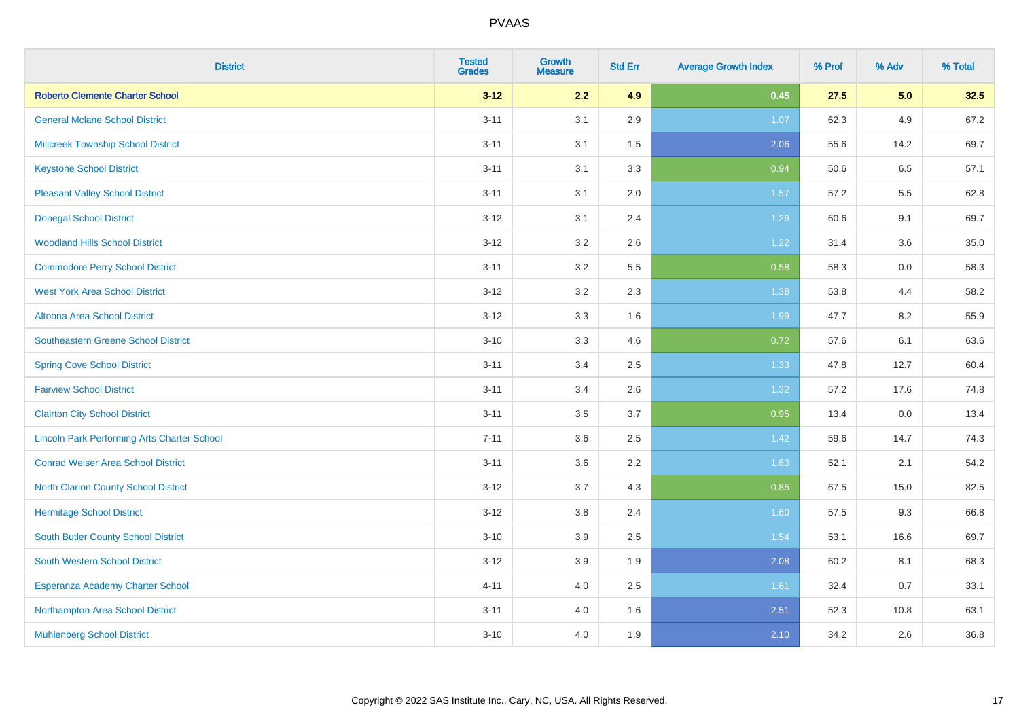| <b>District</b>                                    | <b>Tested</b><br><b>Grades</b> | <b>Growth</b><br><b>Measure</b> | <b>Std Err</b> | <b>Average Growth Index</b> | % Prof | % Adv | % Total |
|----------------------------------------------------|--------------------------------|---------------------------------|----------------|-----------------------------|--------|-------|---------|
| <b>Roberto Clemente Charter School</b>             | $3 - 12$                       | 2.2                             | 4.9            | 0.45                        | 27.5   | 5.0   | 32.5    |
| <b>General Mclane School District</b>              | $3 - 11$                       | 3.1                             | 2.9            | 1.07                        | 62.3   | 4.9   | 67.2    |
| <b>Millcreek Township School District</b>          | $3 - 11$                       | 3.1                             | 1.5            | 2.06                        | 55.6   | 14.2  | 69.7    |
| <b>Keystone School District</b>                    | $3 - 11$                       | 3.1                             | 3.3            | 0.94                        | 50.6   | 6.5   | 57.1    |
| <b>Pleasant Valley School District</b>             | $3 - 11$                       | 3.1                             | 2.0            | 1.57                        | 57.2   | 5.5   | 62.8    |
| <b>Donegal School District</b>                     | $3 - 12$                       | 3.1                             | 2.4            | 1.29                        | 60.6   | 9.1   | 69.7    |
| <b>Woodland Hills School District</b>              | $3 - 12$                       | 3.2                             | 2.6            | 1.22                        | 31.4   | 3.6   | 35.0    |
| <b>Commodore Perry School District</b>             | $3 - 11$                       | 3.2                             | 5.5            | 0.58                        | 58.3   | 0.0   | 58.3    |
| <b>West York Area School District</b>              | $3 - 12$                       | 3.2                             | 2.3            | 1.38                        | 53.8   | 4.4   | 58.2    |
| <b>Altoona Area School District</b>                | $3 - 12$                       | 3.3                             | 1.6            | 1.99                        | 47.7   | 8.2   | 55.9    |
| <b>Southeastern Greene School District</b>         | $3 - 10$                       | 3.3                             | 4.6            | 0.72                        | 57.6   | 6.1   | 63.6    |
| <b>Spring Cove School District</b>                 | $3 - 11$                       | 3.4                             | 2.5            | 1.33                        | 47.8   | 12.7  | 60.4    |
| <b>Fairview School District</b>                    | $3 - 11$                       | 3.4                             | 2.6            | 1.32                        | 57.2   | 17.6  | 74.8    |
| <b>Clairton City School District</b>               | $3 - 11$                       | 3.5                             | 3.7            | 0.95                        | 13.4   | 0.0   | 13.4    |
| <b>Lincoln Park Performing Arts Charter School</b> | $7 - 11$                       | 3.6                             | 2.5            | 1.42                        | 59.6   | 14.7  | 74.3    |
| <b>Conrad Weiser Area School District</b>          | $3 - 11$                       | 3.6                             | 2.2            | 1.63                        | 52.1   | 2.1   | 54.2    |
| <b>North Clarion County School District</b>        | $3 - 12$                       | 3.7                             | 4.3            | 0.85                        | 67.5   | 15.0  | 82.5    |
| <b>Hermitage School District</b>                   | $3 - 12$                       | 3.8                             | 2.4            | 1.60                        | 57.5   | 9.3   | 66.8    |
| <b>South Butler County School District</b>         | $3 - 10$                       | 3.9                             | 2.5            | 1.54                        | 53.1   | 16.6  | 69.7    |
| South Western School District                      | $3 - 12$                       | 3.9                             | 1.9            | 2.08                        | 60.2   | 8.1   | 68.3    |
| Esperanza Academy Charter School                   | $4 - 11$                       | 4.0                             | 2.5            | 1.61                        | 32.4   | 0.7   | 33.1    |
| Northampton Area School District                   | $3 - 11$                       | 4.0                             | 1.6            | 2.51                        | 52.3   | 10.8  | 63.1    |
| <b>Muhlenberg School District</b>                  | $3 - 10$                       | 4.0                             | 1.9            | 2.10                        | 34.2   | 2.6   | 36.8    |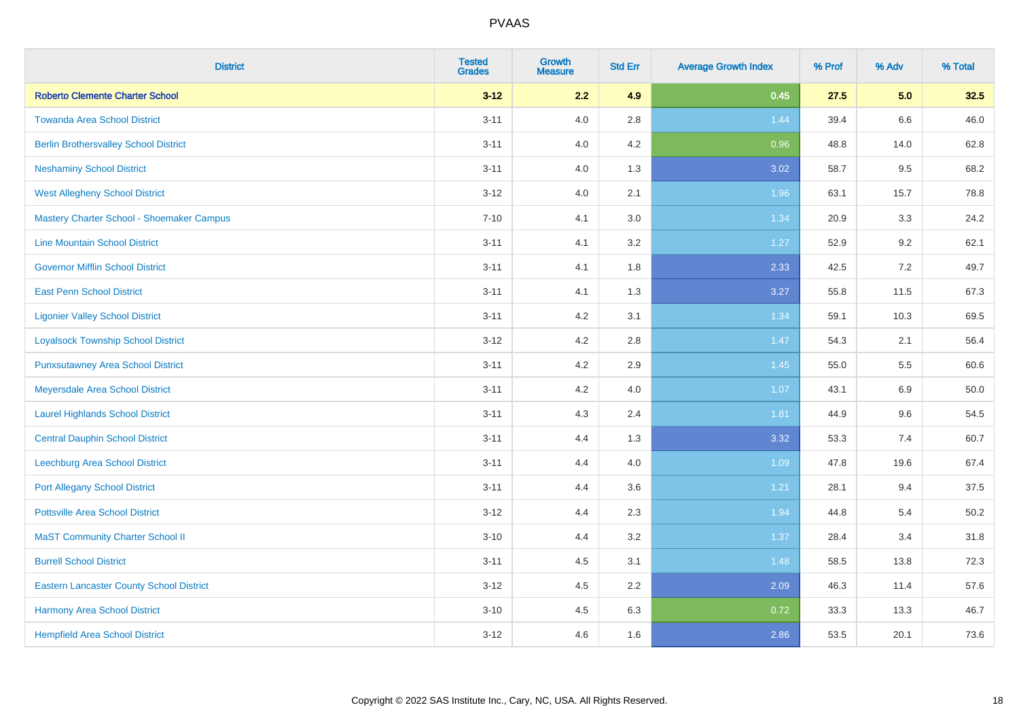| <b>District</b>                                 | <b>Tested</b><br><b>Grades</b> | <b>Growth</b><br><b>Measure</b> | <b>Std Err</b> | <b>Average Growth Index</b> | % Prof | % Adv   | % Total |
|-------------------------------------------------|--------------------------------|---------------------------------|----------------|-----------------------------|--------|---------|---------|
| <b>Roberto Clemente Charter School</b>          | $3 - 12$                       | 2.2                             | 4.9            | 0.45                        | 27.5   | 5.0     | 32.5    |
| <b>Towanda Area School District</b>             | $3 - 11$                       | 4.0                             | 2.8            | 1.44                        | 39.4   | $6.6\,$ | 46.0    |
| <b>Berlin Brothersvalley School District</b>    | $3 - 11$                       | 4.0                             | 4.2            | 0.96                        | 48.8   | 14.0    | 62.8    |
| <b>Neshaminy School District</b>                | $3 - 11$                       | 4.0                             | 1.3            | 3.02                        | 58.7   | 9.5     | 68.2    |
| <b>West Allegheny School District</b>           | $3-12$                         | 4.0                             | 2.1            | 1.96                        | 63.1   | 15.7    | 78.8    |
| Mastery Charter School - Shoemaker Campus       | $7 - 10$                       | 4.1                             | 3.0            | 1.34                        | 20.9   | 3.3     | 24.2    |
| <b>Line Mountain School District</b>            | $3 - 11$                       | 4.1                             | 3.2            | $1.27$                      | 52.9   | 9.2     | 62.1    |
| <b>Governor Mifflin School District</b>         | $3 - 11$                       | 4.1                             | 1.8            | 2.33                        | 42.5   | 7.2     | 49.7    |
| <b>East Penn School District</b>                | $3 - 11$                       | 4.1                             | 1.3            | 3.27                        | 55.8   | 11.5    | 67.3    |
| <b>Ligonier Valley School District</b>          | $3 - 11$                       | 4.2                             | 3.1            | 1.34                        | 59.1   | 10.3    | 69.5    |
| <b>Loyalsock Township School District</b>       | $3 - 12$                       | 4.2                             | 2.8            | 1.47                        | 54.3   | 2.1     | 56.4    |
| <b>Punxsutawney Area School District</b>        | $3 - 11$                       | 4.2                             | 2.9            | 1.45                        | 55.0   | 5.5     | 60.6    |
| Meyersdale Area School District                 | $3 - 11$                       | 4.2                             | 4.0            | 1.07                        | 43.1   | 6.9     | 50.0    |
| <b>Laurel Highlands School District</b>         | $3 - 11$                       | 4.3                             | 2.4            | 1.81                        | 44.9   | 9.6     | 54.5    |
| <b>Central Dauphin School District</b>          | $3 - 11$                       | 4.4                             | 1.3            | 3.32                        | 53.3   | 7.4     | 60.7    |
| Leechburg Area School District                  | $3 - 11$                       | 4.4                             | 4.0            | 1.09                        | 47.8   | 19.6    | 67.4    |
| <b>Port Allegany School District</b>            | $3 - 11$                       | 4.4                             | 3.6            | 1.21                        | 28.1   | 9.4     | 37.5    |
| <b>Pottsville Area School District</b>          | $3-12$                         | 4.4                             | 2.3            | 1.94                        | 44.8   | 5.4     | 50.2    |
| <b>MaST Community Charter School II</b>         | $3 - 10$                       | 4.4                             | 3.2            | 1.37                        | 28.4   | 3.4     | 31.8    |
| <b>Burrell School District</b>                  | $3 - 11$                       | 4.5                             | 3.1            | 1.48                        | 58.5   | 13.8    | 72.3    |
| <b>Eastern Lancaster County School District</b> | $3-12$                         | 4.5                             | 2.2            | 2.09                        | 46.3   | 11.4    | 57.6    |
| Harmony Area School District                    | $3 - 10$                       | 4.5                             | 6.3            | 0.72                        | 33.3   | 13.3    | 46.7    |
| <b>Hempfield Area School District</b>           | $3-12$                         | 4.6                             | 1.6            | 2.86                        | 53.5   | 20.1    | 73.6    |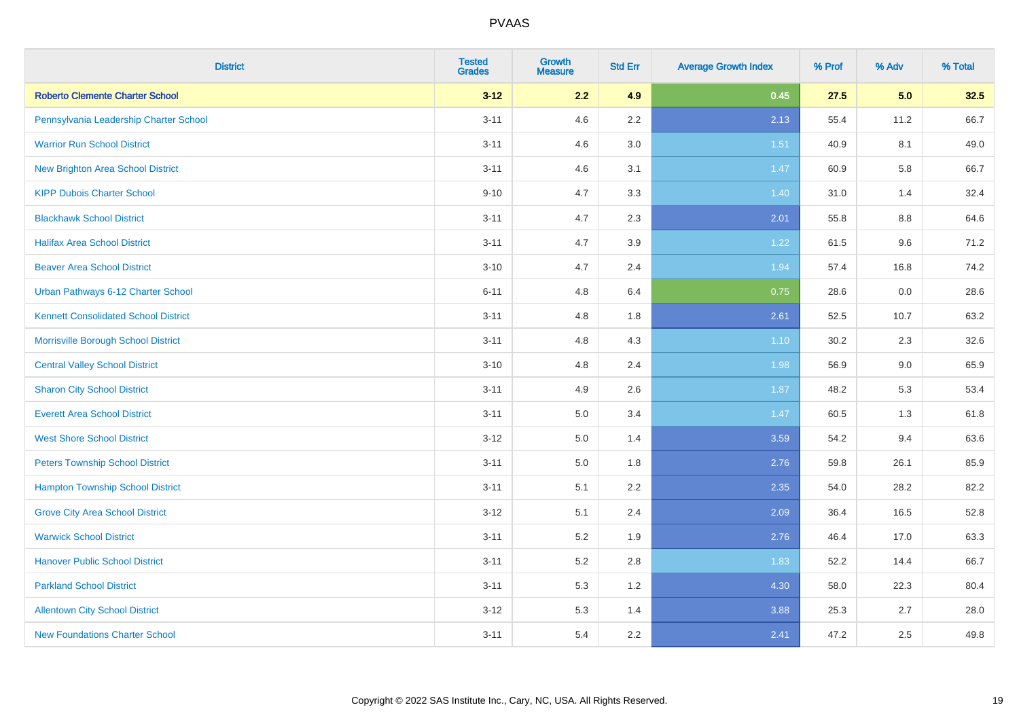| <b>District</b>                             | <b>Tested</b><br><b>Grades</b> | <b>Growth</b><br><b>Measure</b> | <b>Std Err</b> | <b>Average Growth Index</b> | % Prof | % Adv | % Total |
|---------------------------------------------|--------------------------------|---------------------------------|----------------|-----------------------------|--------|-------|---------|
| <b>Roberto Clemente Charter School</b>      | $3 - 12$                       | 2.2                             | 4.9            | 0.45                        | 27.5   | 5.0   | 32.5    |
| Pennsylvania Leadership Charter School      | $3 - 11$                       | 4.6                             | $2.2\,$        | 2.13                        | 55.4   | 11.2  | 66.7    |
| <b>Warrior Run School District</b>          | $3 - 11$                       | 4.6                             | 3.0            | 1.51                        | 40.9   | 8.1   | 49.0    |
| <b>New Brighton Area School District</b>    | $3 - 11$                       | 4.6                             | 3.1            | 1.47                        | 60.9   | 5.8   | 66.7    |
| <b>KIPP Dubois Charter School</b>           | $9 - 10$                       | 4.7                             | 3.3            | 1.40                        | 31.0   | 1.4   | 32.4    |
| <b>Blackhawk School District</b>            | $3 - 11$                       | 4.7                             | 2.3            | 2.01                        | 55.8   | 8.8   | 64.6    |
| <b>Halifax Area School District</b>         | $3 - 11$                       | 4.7                             | 3.9            | 1.22                        | 61.5   | 9.6   | 71.2    |
| <b>Beaver Area School District</b>          | $3 - 10$                       | 4.7                             | 2.4            | 1.94                        | 57.4   | 16.8  | 74.2    |
| Urban Pathways 6-12 Charter School          | $6 - 11$                       | 4.8                             | 6.4            | 0.75                        | 28.6   | 0.0   | 28.6    |
| <b>Kennett Consolidated School District</b> | $3 - 11$                       | 4.8                             | 1.8            | 2.61                        | 52.5   | 10.7  | 63.2    |
| Morrisville Borough School District         | $3 - 11$                       | 4.8                             | 4.3            | $1.10$                      | 30.2   | 2.3   | 32.6    |
| <b>Central Valley School District</b>       | $3 - 10$                       | 4.8                             | 2.4            | 1.98                        | 56.9   | 9.0   | 65.9    |
| <b>Sharon City School District</b>          | $3 - 11$                       | 4.9                             | 2.6            | 1.87                        | 48.2   | 5.3   | 53.4    |
| <b>Everett Area School District</b>         | $3 - 11$                       | 5.0                             | 3.4            | 1.47                        | 60.5   | 1.3   | 61.8    |
| <b>West Shore School District</b>           | $3 - 12$                       | 5.0                             | 1.4            | 3.59                        | 54.2   | 9.4   | 63.6    |
| <b>Peters Township School District</b>      | $3 - 11$                       | 5.0                             | 1.8            | 2.76                        | 59.8   | 26.1  | 85.9    |
| <b>Hampton Township School District</b>     | $3 - 11$                       | 5.1                             | 2.2            | 2.35                        | 54.0   | 28.2  | 82.2    |
| <b>Grove City Area School District</b>      | $3 - 12$                       | 5.1                             | 2.4            | 2.09                        | 36.4   | 16.5  | 52.8    |
| <b>Warwick School District</b>              | $3 - 11$                       | 5.2                             | 1.9            | 2.76                        | 46.4   | 17.0  | 63.3    |
| <b>Hanover Public School District</b>       | $3 - 11$                       | 5.2                             | 2.8            | 1.83                        | 52.2   | 14.4  | 66.7    |
| <b>Parkland School District</b>             | $3 - 11$                       | 5.3                             | 1.2            | 4.30                        | 58.0   | 22.3  | 80.4    |
| <b>Allentown City School District</b>       | $3 - 12$                       | 5.3                             | 1.4            | 3.88                        | 25.3   | 2.7   | 28.0    |
| <b>New Foundations Charter School</b>       | $3 - 11$                       | 5.4                             | 2.2            | 2.41                        | 47.2   | 2.5   | 49.8    |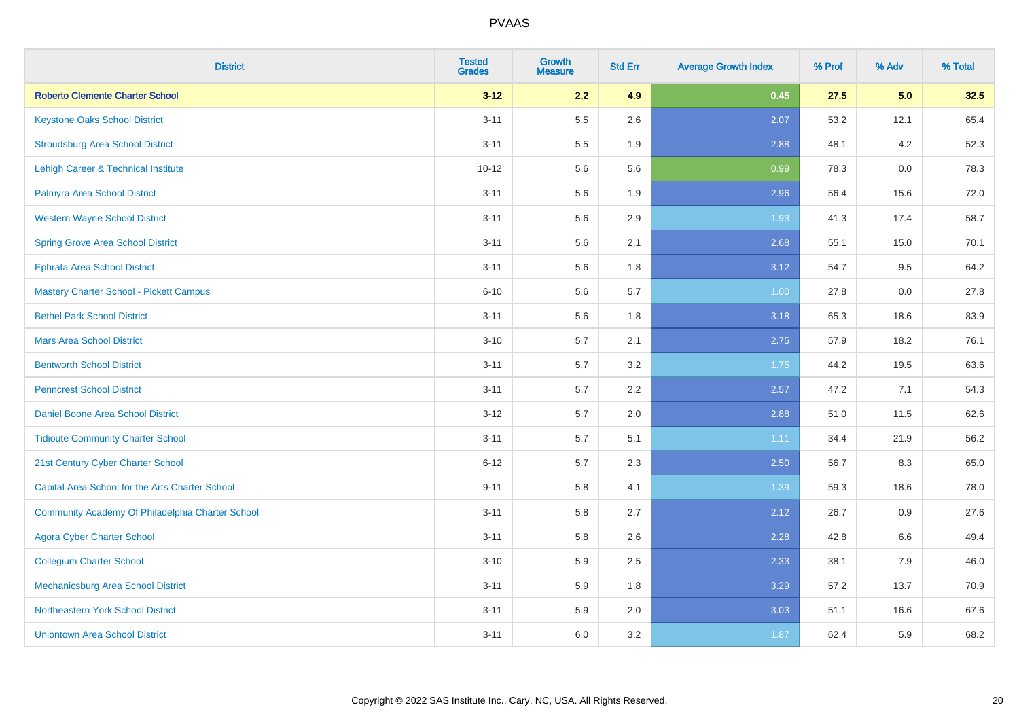| <b>District</b>                                  | <b>Tested</b><br><b>Grades</b> | <b>Growth</b><br><b>Measure</b> | <b>Std Err</b> | <b>Average Growth Index</b> | % Prof | % Adv | % Total |
|--------------------------------------------------|--------------------------------|---------------------------------|----------------|-----------------------------|--------|-------|---------|
| <b>Roberto Clemente Charter School</b>           | $3 - 12$                       | 2.2                             | 4.9            | 0.45                        | 27.5   | 5.0   | 32.5    |
| <b>Keystone Oaks School District</b>             | $3 - 11$                       | 5.5                             | 2.6            | 2.07                        | 53.2   | 12.1  | 65.4    |
| <b>Stroudsburg Area School District</b>          | $3 - 11$                       | 5.5                             | 1.9            | 2.88                        | 48.1   | 4.2   | 52.3    |
| Lehigh Career & Technical Institute              | $10 - 12$                      | 5.6                             | 5.6            | 0.99                        | 78.3   | 0.0   | 78.3    |
| Palmyra Area School District                     | $3 - 11$                       | 5.6                             | 1.9            | 2.96                        | 56.4   | 15.6  | 72.0    |
| <b>Western Wayne School District</b>             | $3 - 11$                       | 5.6                             | 2.9            | 1.93                        | 41.3   | 17.4  | 58.7    |
| <b>Spring Grove Area School District</b>         | $3 - 11$                       | 5.6                             | 2.1            | 2.68                        | 55.1   | 15.0  | 70.1    |
| <b>Ephrata Area School District</b>              | $3 - 11$                       | 5.6                             | 1.8            | 3.12                        | 54.7   | 9.5   | 64.2    |
| <b>Mastery Charter School - Pickett Campus</b>   | $6 - 10$                       | 5.6                             | 5.7            | 1.00                        | 27.8   | 0.0   | 27.8    |
| <b>Bethel Park School District</b>               | $3 - 11$                       | 5.6                             | 1.8            | 3.18                        | 65.3   | 18.6  | 83.9    |
| <b>Mars Area School District</b>                 | $3 - 10$                       | 5.7                             | 2.1            | 2.75                        | 57.9   | 18.2  | 76.1    |
| <b>Bentworth School District</b>                 | $3 - 11$                       | 5.7                             | 3.2            | 1.75                        | 44.2   | 19.5  | 63.6    |
| <b>Penncrest School District</b>                 | $3 - 11$                       | 5.7                             | 2.2            | 2.57                        | 47.2   | 7.1   | 54.3    |
| Daniel Boone Area School District                | $3 - 12$                       | 5.7                             | 2.0            | 2.88                        | 51.0   | 11.5  | 62.6    |
| <b>Tidioute Community Charter School</b>         | $3 - 11$                       | 5.7                             | 5.1            | 1.11                        | 34.4   | 21.9  | 56.2    |
| 21st Century Cyber Charter School                | $6 - 12$                       | 5.7                             | 2.3            | 2.50                        | 56.7   | 8.3   | 65.0    |
| Capital Area School for the Arts Charter School  | $9 - 11$                       | 5.8                             | 4.1            | 1.39                        | 59.3   | 18.6  | 78.0    |
| Community Academy Of Philadelphia Charter School | $3 - 11$                       | 5.8                             | 2.7            | 2.12                        | 26.7   | 0.9   | 27.6    |
| <b>Agora Cyber Charter School</b>                | $3 - 11$                       | 5.8                             | 2.6            | 2.28                        | 42.8   | 6.6   | 49.4    |
| <b>Collegium Charter School</b>                  | $3 - 10$                       | 5.9                             | 2.5            | 2.33                        | 38.1   | 7.9   | 46.0    |
| <b>Mechanicsburg Area School District</b>        | $3 - 11$                       | 5.9                             | 1.8            | 3.29                        | 57.2   | 13.7  | 70.9    |
| Northeastern York School District                | $3 - 11$                       | 5.9                             | 2.0            | 3.03                        | 51.1   | 16.6  | 67.6    |
| <b>Uniontown Area School District</b>            | $3 - 11$                       | 6.0                             | 3.2            | 1.87                        | 62.4   | 5.9   | 68.2    |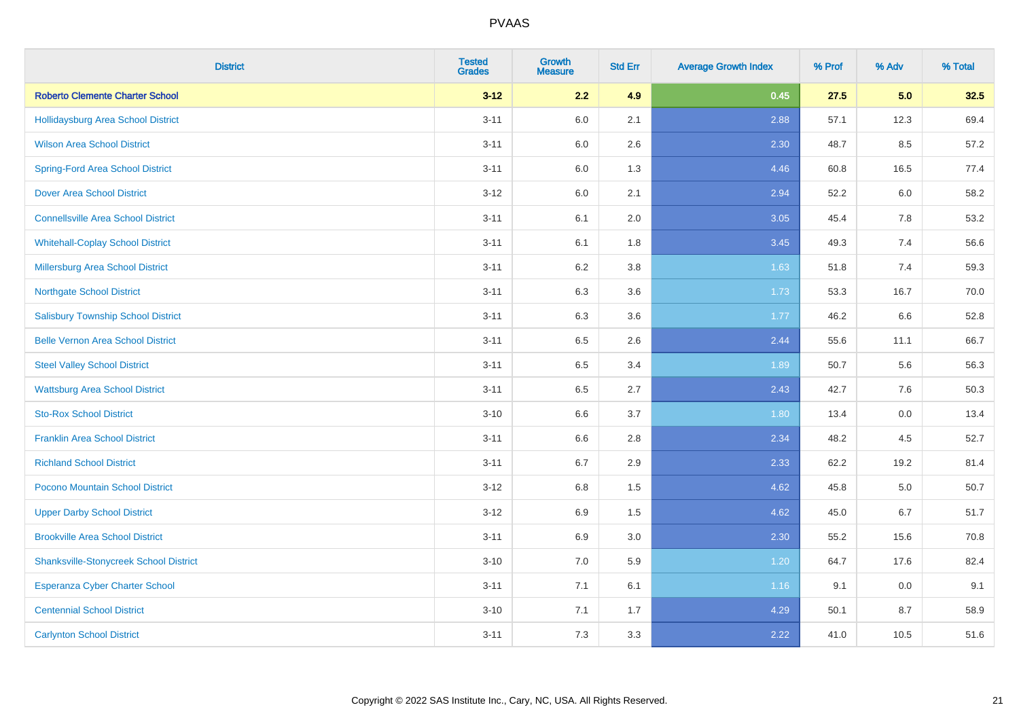| <b>District</b>                               | <b>Tested</b><br><b>Grades</b> | <b>Growth</b><br><b>Measure</b> | <b>Std Err</b> | <b>Average Growth Index</b> | % Prof | % Adv | % Total |
|-----------------------------------------------|--------------------------------|---------------------------------|----------------|-----------------------------|--------|-------|---------|
| <b>Roberto Clemente Charter School</b>        | $3 - 12$                       | 2.2                             | 4.9            | 0.45                        | 27.5   | 5.0   | 32.5    |
| Hollidaysburg Area School District            | $3 - 11$                       | 6.0                             | 2.1            | 2.88                        | 57.1   | 12.3  | 69.4    |
| <b>Wilson Area School District</b>            | $3 - 11$                       | 6.0                             | 2.6            | 2.30                        | 48.7   | 8.5   | 57.2    |
| <b>Spring-Ford Area School District</b>       | $3 - 11$                       | 6.0                             | 1.3            | 4.46                        | 60.8   | 16.5  | 77.4    |
| <b>Dover Area School District</b>             | $3 - 12$                       | 6.0                             | 2.1            | 2.94                        | 52.2   | 6.0   | 58.2    |
| <b>Connellsville Area School District</b>     | $3 - 11$                       | 6.1                             | 2.0            | 3.05                        | 45.4   | 7.8   | 53.2    |
| <b>Whitehall-Coplay School District</b>       | $3 - 11$                       | 6.1                             | 1.8            | 3.45                        | 49.3   | 7.4   | 56.6    |
| <b>Millersburg Area School District</b>       | $3 - 11$                       | 6.2                             | 3.8            | 1.63                        | 51.8   | 7.4   | 59.3    |
| <b>Northgate School District</b>              | $3 - 11$                       | 6.3                             | 3.6            | 1.73                        | 53.3   | 16.7  | 70.0    |
| <b>Salisbury Township School District</b>     | $3 - 11$                       | 6.3                             | 3.6            | 1.77                        | 46.2   | 6.6   | 52.8    |
| <b>Belle Vernon Area School District</b>      | $3 - 11$                       | 6.5                             | 2.6            | 2.44                        | 55.6   | 11.1  | 66.7    |
| <b>Steel Valley School District</b>           | $3 - 11$                       | 6.5                             | 3.4            | 1.89                        | 50.7   | 5.6   | 56.3    |
| <b>Wattsburg Area School District</b>         | $3 - 11$                       | 6.5                             | 2.7            | 2.43                        | 42.7   | 7.6   | 50.3    |
| <b>Sto-Rox School District</b>                | $3 - 10$                       | 6.6                             | 3.7            | 1.80                        | 13.4   | 0.0   | 13.4    |
| <b>Franklin Area School District</b>          | $3 - 11$                       | 6.6                             | 2.8            | 2.34                        | 48.2   | 4.5   | 52.7    |
| <b>Richland School District</b>               | $3 - 11$                       | 6.7                             | 2.9            | 2.33                        | 62.2   | 19.2  | 81.4    |
| Pocono Mountain School District               | $3-12$                         | 6.8                             | 1.5            | 4.62                        | 45.8   | 5.0   | 50.7    |
| <b>Upper Darby School District</b>            | $3 - 12$                       | 6.9                             | 1.5            | 4.62                        | 45.0   | 6.7   | 51.7    |
| <b>Brookville Area School District</b>        | $3 - 11$                       | 6.9                             | 3.0            | 2.30                        | 55.2   | 15.6  | 70.8    |
| <b>Shanksville-Stonycreek School District</b> | $3 - 10$                       | 7.0                             | 5.9            | 1.20                        | 64.7   | 17.6  | 82.4    |
| <b>Esperanza Cyber Charter School</b>         | $3 - 11$                       | 7.1                             | 6.1            | 1.16                        | 9.1    | 0.0   | 9.1     |
| <b>Centennial School District</b>             | $3 - 10$                       | 7.1                             | 1.7            | 4.29                        | 50.1   | 8.7   | 58.9    |
| <b>Carlynton School District</b>              | $3 - 11$                       | 7.3                             | 3.3            | 2.22                        | 41.0   | 10.5  | 51.6    |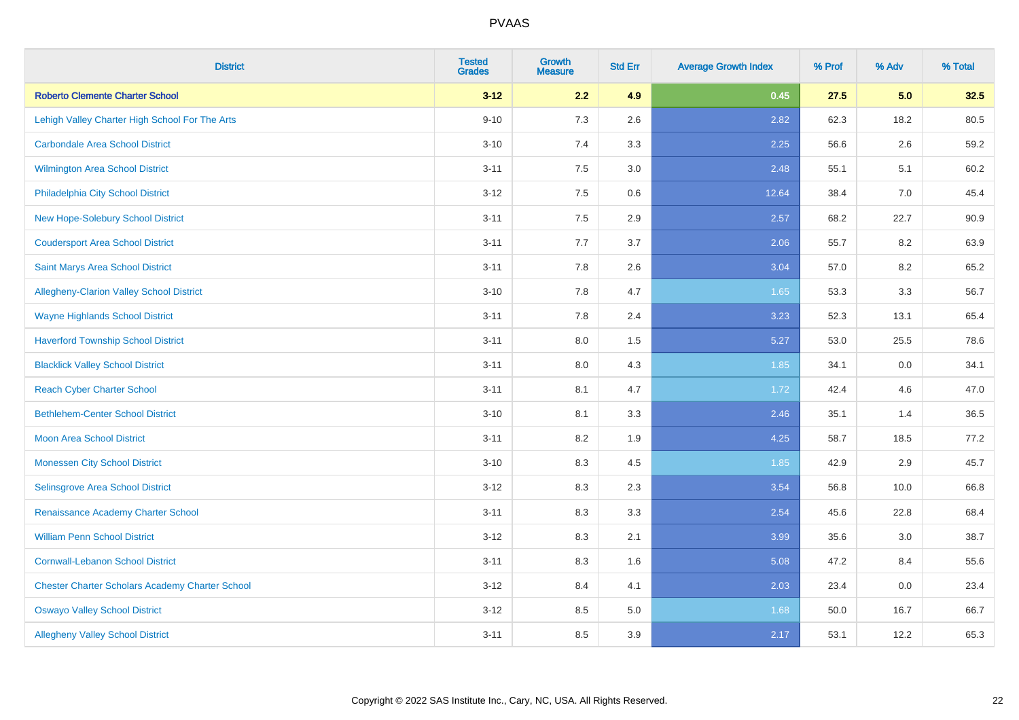| <b>District</b>                                        | <b>Tested</b><br><b>Grades</b> | <b>Growth</b><br><b>Measure</b> | <b>Std Err</b> | <b>Average Growth Index</b> | % Prof | % Adv | % Total |
|--------------------------------------------------------|--------------------------------|---------------------------------|----------------|-----------------------------|--------|-------|---------|
| <b>Roberto Clemente Charter School</b>                 | $3 - 12$                       | 2.2                             | 4.9            | 0.45                        | 27.5   | 5.0   | 32.5    |
| Lehigh Valley Charter High School For The Arts         | $9 - 10$                       | 7.3                             | 2.6            | 2.82                        | 62.3   | 18.2  | 80.5    |
| <b>Carbondale Area School District</b>                 | $3 - 10$                       | 7.4                             | 3.3            | 2.25                        | 56.6   | 2.6   | 59.2    |
| <b>Wilmington Area School District</b>                 | $3 - 11$                       | 7.5                             | 3.0            | 2.48                        | 55.1   | 5.1   | 60.2    |
| Philadelphia City School District                      | $3 - 12$                       | 7.5                             | 0.6            | 12.64                       | 38.4   | 7.0   | 45.4    |
| New Hope-Solebury School District                      | $3 - 11$                       | 7.5                             | 2.9            | 2.57                        | 68.2   | 22.7  | 90.9    |
| <b>Coudersport Area School District</b>                | $3 - 11$                       | 7.7                             | 3.7            | 2.06                        | 55.7   | 8.2   | 63.9    |
| <b>Saint Marys Area School District</b>                | $3 - 11$                       | 7.8                             | 2.6            | 3.04                        | 57.0   | 8.2   | 65.2    |
| Allegheny-Clarion Valley School District               | $3 - 10$                       | 7.8                             | 4.7            | 1.65                        | 53.3   | 3.3   | 56.7    |
| <b>Wayne Highlands School District</b>                 | $3 - 11$                       | 7.8                             | 2.4            | 3.23                        | 52.3   | 13.1  | 65.4    |
| <b>Haverford Township School District</b>              | $3 - 11$                       | 8.0                             | 1.5            | 5.27                        | 53.0   | 25.5  | 78.6    |
| <b>Blacklick Valley School District</b>                | $3 - 11$                       | 8.0                             | 4.3            | 1.85                        | 34.1   | 0.0   | 34.1    |
| <b>Reach Cyber Charter School</b>                      | $3 - 11$                       | 8.1                             | 4.7            | 1.72                        | 42.4   | 4.6   | 47.0    |
| <b>Bethlehem-Center School District</b>                | $3 - 10$                       | 8.1                             | 3.3            | 2.46                        | 35.1   | 1.4   | 36.5    |
| <b>Moon Area School District</b>                       | $3 - 11$                       | 8.2                             | 1.9            | 4.25                        | 58.7   | 18.5  | 77.2    |
| <b>Monessen City School District</b>                   | $3 - 10$                       | 8.3                             | 4.5            | 1.85                        | 42.9   | 2.9   | 45.7    |
| Selinsgrove Area School District                       | $3 - 12$                       | 8.3                             | 2.3            | 3.54                        | 56.8   | 10.0  | 66.8    |
| Renaissance Academy Charter School                     | $3 - 11$                       | 8.3                             | 3.3            | 2.54                        | 45.6   | 22.8  | 68.4    |
| <b>William Penn School District</b>                    | $3 - 12$                       | 8.3                             | 2.1            | 3.99                        | 35.6   | 3.0   | 38.7    |
| <b>Cornwall-Lebanon School District</b>                | $3 - 11$                       | 8.3                             | 1.6            | 5.08                        | 47.2   | 8.4   | 55.6    |
| <b>Chester Charter Scholars Academy Charter School</b> | $3 - 12$                       | 8.4                             | 4.1            | 2.03                        | 23.4   | 0.0   | 23.4    |
| <b>Oswayo Valley School District</b>                   | $3 - 12$                       | 8.5                             | 5.0            | 1.68                        | 50.0   | 16.7  | 66.7    |
| <b>Allegheny Valley School District</b>                | $3 - 11$                       | 8.5                             | 3.9            | 2.17                        | 53.1   | 12.2  | 65.3    |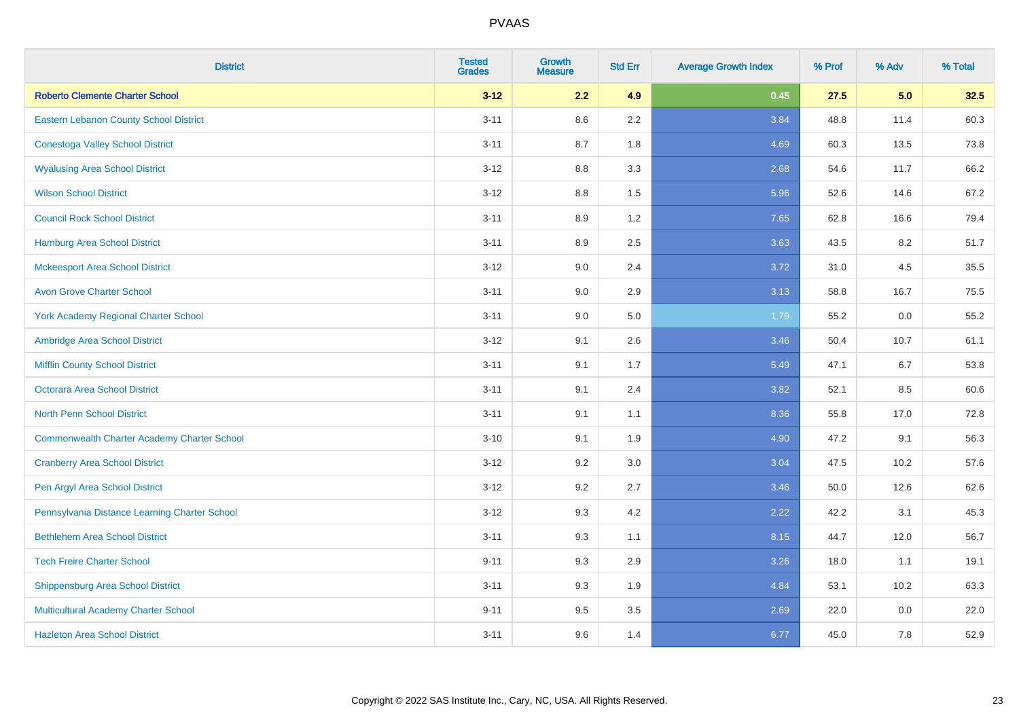| <b>District</b>                                    | <b>Tested</b><br><b>Grades</b> | <b>Growth</b><br><b>Measure</b> | <b>Std Err</b> | <b>Average Growth Index</b> | % Prof | % Adv | % Total |
|----------------------------------------------------|--------------------------------|---------------------------------|----------------|-----------------------------|--------|-------|---------|
| <b>Roberto Clemente Charter School</b>             | $3 - 12$                       | 2.2                             | 4.9            | 0.45                        | 27.5   | 5.0   | 32.5    |
| Eastern Lebanon County School District             | $3 - 11$                       | 8.6                             | 2.2            | 3.84                        | 48.8   | 11.4  | 60.3    |
| <b>Conestoga Valley School District</b>            | $3 - 11$                       | 8.7                             | 1.8            | 4.69                        | 60.3   | 13.5  | 73.8    |
| <b>Wyalusing Area School District</b>              | $3 - 12$                       | 8.8                             | 3.3            | 2.68                        | 54.6   | 11.7  | 66.2    |
| <b>Wilson School District</b>                      | $3 - 12$                       | 8.8                             | 1.5            | 5.96                        | 52.6   | 14.6  | 67.2    |
| <b>Council Rock School District</b>                | $3 - 11$                       | 8.9                             | 1.2            | 7.65                        | 62.8   | 16.6  | 79.4    |
| <b>Hamburg Area School District</b>                | $3 - 11$                       | 8.9                             | 2.5            | 3.63                        | 43.5   | 8.2   | 51.7    |
| <b>Mckeesport Area School District</b>             | $3 - 12$                       | 9.0                             | 2.4            | 3.72                        | 31.0   | 4.5   | 35.5    |
| <b>Avon Grove Charter School</b>                   | $3 - 11$                       | 9.0                             | 2.9            | 3.13                        | 58.8   | 16.7  | 75.5    |
| <b>York Academy Regional Charter School</b>        | $3 - 11$                       | 9.0                             | 5.0            | 1.79                        | 55.2   | 0.0   | 55.2    |
| Ambridge Area School District                      | $3 - 12$                       | 9.1                             | 2.6            | 3.46                        | 50.4   | 10.7  | 61.1    |
| <b>Mifflin County School District</b>              | $3 - 11$                       | 9.1                             | 1.7            | 5.49                        | 47.1   | 6.7   | 53.8    |
| <b>Octorara Area School District</b>               | $3 - 11$                       | 9.1                             | 2.4            | 3.82                        | 52.1   | 8.5   | 60.6    |
| <b>North Penn School District</b>                  | $3 - 11$                       | 9.1                             | 1.1            | 8.36                        | 55.8   | 17.0  | 72.8    |
| <b>Commonwealth Charter Academy Charter School</b> | $3 - 10$                       | 9.1                             | 1.9            | 4.90                        | 47.2   | 9.1   | 56.3    |
| <b>Cranberry Area School District</b>              | $3 - 12$                       | 9.2                             | 3.0            | 3.04                        | 47.5   | 10.2  | 57.6    |
| Pen Argyl Area School District                     | $3 - 12$                       | 9.2                             | 2.7            | 3.46                        | 50.0   | 12.6  | 62.6    |
| Pennsylvania Distance Learning Charter School      | $3 - 12$                       | 9.3                             | 4.2            | 2.22                        | 42.2   | 3.1   | 45.3    |
| <b>Bethlehem Area School District</b>              | $3 - 11$                       | 9.3                             | 1.1            | 8.15                        | 44.7   | 12.0  | 56.7    |
| <b>Tech Freire Charter School</b>                  | $9 - 11$                       | 9.3                             | 2.9            | 3.26                        | 18.0   | 1.1   | 19.1    |
| <b>Shippensburg Area School District</b>           | $3 - 11$                       | 9.3                             | 1.9            | 4.84                        | 53.1   | 10.2  | 63.3    |
| Multicultural Academy Charter School               | $9 - 11$                       | 9.5                             | 3.5            | 2.69                        | 22.0   | 0.0   | 22.0    |
| <b>Hazleton Area School District</b>               | $3 - 11$                       | 9.6                             | 1.4            | 6.77                        | 45.0   | 7.8   | 52.9    |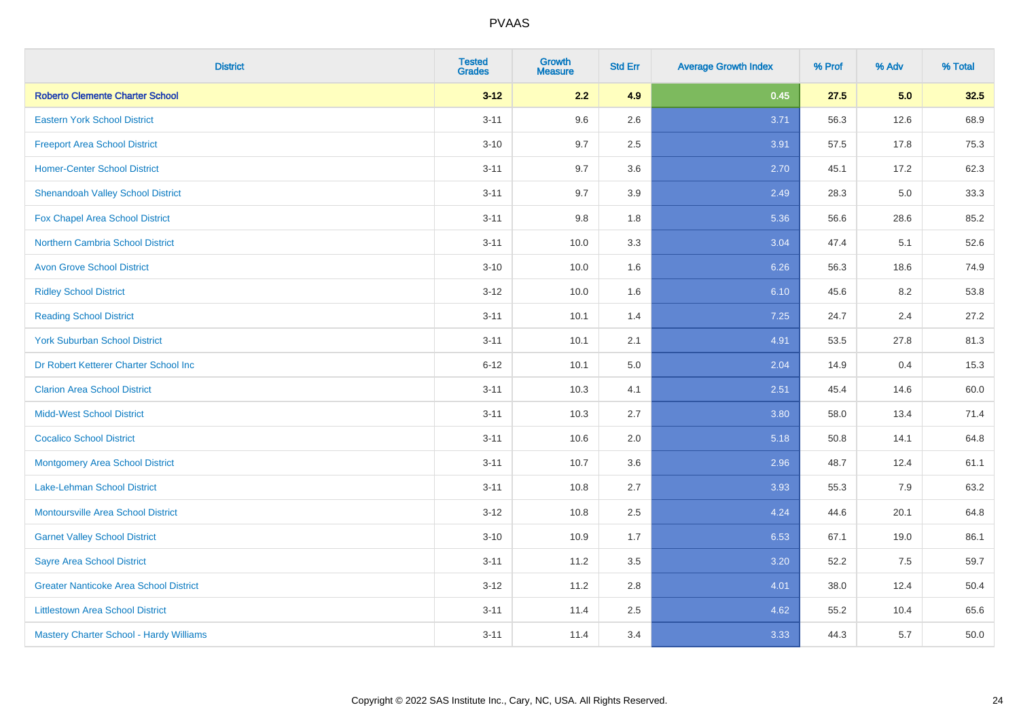| <b>District</b>                                | <b>Tested</b><br><b>Grades</b> | <b>Growth</b><br><b>Measure</b> | <b>Std Err</b> | <b>Average Growth Index</b> | % Prof | % Adv | % Total |
|------------------------------------------------|--------------------------------|---------------------------------|----------------|-----------------------------|--------|-------|---------|
| <b>Roberto Clemente Charter School</b>         | $3 - 12$                       | 2.2                             | 4.9            | 0.45                        | 27.5   | 5.0   | 32.5    |
| <b>Eastern York School District</b>            | $3 - 11$                       | 9.6                             | 2.6            | 3.71                        | 56.3   | 12.6  | 68.9    |
| <b>Freeport Area School District</b>           | $3 - 10$                       | 9.7                             | 2.5            | 3.91                        | 57.5   | 17.8  | 75.3    |
| <b>Homer-Center School District</b>            | $3 - 11$                       | 9.7                             | 3.6            | 2.70                        | 45.1   | 17.2  | 62.3    |
| <b>Shenandoah Valley School District</b>       | $3 - 11$                       | 9.7                             | 3.9            | 2.49                        | 28.3   | 5.0   | 33.3    |
| Fox Chapel Area School District                | $3 - 11$                       | 9.8                             | 1.8            | 5.36                        | 56.6   | 28.6  | 85.2    |
| <b>Northern Cambria School District</b>        | $3 - 11$                       | 10.0                            | 3.3            | 3.04                        | 47.4   | 5.1   | 52.6    |
| <b>Avon Grove School District</b>              | $3 - 10$                       | 10.0                            | 1.6            | 6.26                        | 56.3   | 18.6  | 74.9    |
| <b>Ridley School District</b>                  | $3 - 12$                       | 10.0                            | 1.6            | 6.10                        | 45.6   | 8.2   | 53.8    |
| <b>Reading School District</b>                 | $3 - 11$                       | 10.1                            | 1.4            | 7.25                        | 24.7   | 2.4   | 27.2    |
| <b>York Suburban School District</b>           | $3 - 11$                       | 10.1                            | 2.1            | 4.91                        | 53.5   | 27.8  | 81.3    |
| Dr Robert Ketterer Charter School Inc          | $6 - 12$                       | 10.1                            | 5.0            | 2.04                        | 14.9   | 0.4   | 15.3    |
| <b>Clarion Area School District</b>            | $3 - 11$                       | 10.3                            | 4.1            | 2.51                        | 45.4   | 14.6  | 60.0    |
| <b>Midd-West School District</b>               | $3 - 11$                       | 10.3                            | 2.7            | 3.80                        | 58.0   | 13.4  | 71.4    |
| <b>Cocalico School District</b>                | $3 - 11$                       | 10.6                            | 2.0            | 5.18                        | 50.8   | 14.1  | 64.8    |
| <b>Montgomery Area School District</b>         | $3 - 11$                       | 10.7                            | 3.6            | 2.96                        | 48.7   | 12.4  | 61.1    |
| Lake-Lehman School District                    | $3 - 11$                       | 10.8                            | 2.7            | 3.93                        | 55.3   | 7.9   | 63.2    |
| Montoursville Area School District             | $3-12$                         | 10.8                            | 2.5            | 4.24                        | 44.6   | 20.1  | 64.8    |
| <b>Garnet Valley School District</b>           | $3 - 10$                       | 10.9                            | 1.7            | 6.53                        | 67.1   | 19.0  | 86.1    |
| <b>Sayre Area School District</b>              | $3 - 11$                       | 11.2                            | 3.5            | 3.20                        | 52.2   | 7.5   | 59.7    |
| <b>Greater Nanticoke Area School District</b>  | $3-12$                         | 11.2                            | 2.8            | 4.01                        | 38.0   | 12.4  | 50.4    |
| <b>Littlestown Area School District</b>        | $3 - 11$                       | 11.4                            | 2.5            | 4.62                        | 55.2   | 10.4  | 65.6    |
| <b>Mastery Charter School - Hardy Williams</b> | $3 - 11$                       | 11.4                            | 3.4            | 3.33                        | 44.3   | 5.7   | 50.0    |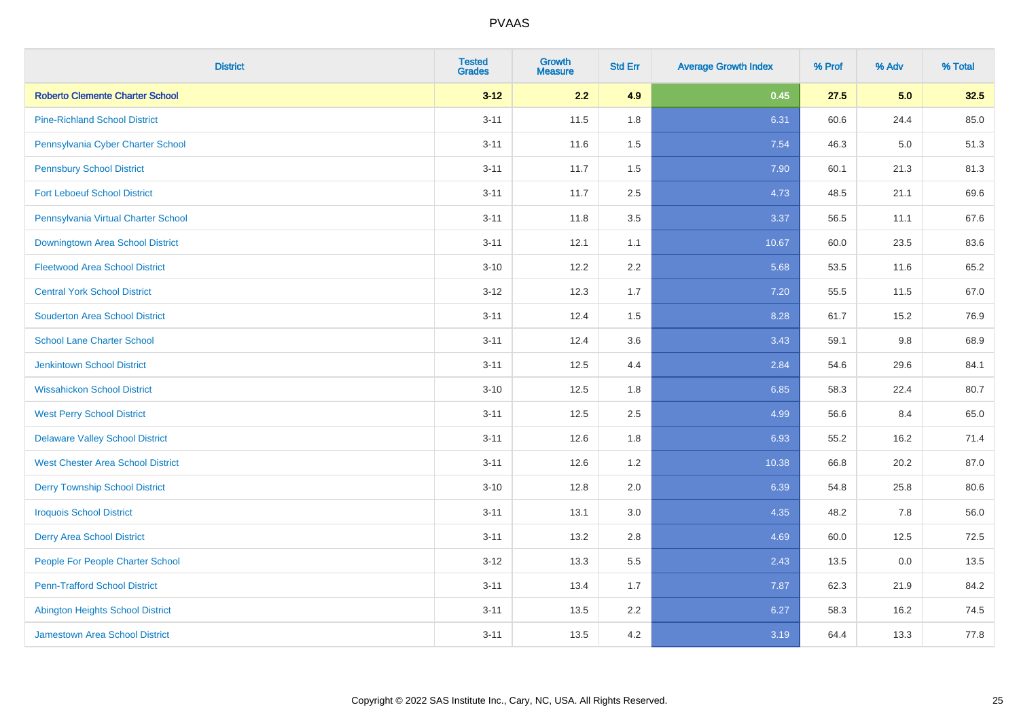| <b>District</b>                          | <b>Tested</b><br><b>Grades</b> | <b>Growth</b><br><b>Measure</b> | <b>Std Err</b> | <b>Average Growth Index</b> | % Prof | % Adv   | % Total |
|------------------------------------------|--------------------------------|---------------------------------|----------------|-----------------------------|--------|---------|---------|
| <b>Roberto Clemente Charter School</b>   | $3 - 12$                       | 2.2                             | 4.9            | 0.45                        | 27.5   | 5.0     | 32.5    |
| <b>Pine-Richland School District</b>     | $3 - 11$                       | 11.5                            | 1.8            | 6.31                        | 60.6   | 24.4    | 85.0    |
| Pennsylvania Cyber Charter School        | $3 - 11$                       | 11.6                            | 1.5            | 7.54                        | 46.3   | $5.0\,$ | 51.3    |
| <b>Pennsbury School District</b>         | $3 - 11$                       | 11.7                            | 1.5            | 7.90                        | 60.1   | 21.3    | 81.3    |
| <b>Fort Leboeuf School District</b>      | $3 - 11$                       | 11.7                            | 2.5            | 4.73                        | 48.5   | 21.1    | 69.6    |
| Pennsylvania Virtual Charter School      | $3 - 11$                       | 11.8                            | 3.5            | 3.37                        | 56.5   | 11.1    | 67.6    |
| Downingtown Area School District         | $3 - 11$                       | 12.1                            | 1.1            | 10.67                       | 60.0   | 23.5    | 83.6    |
| <b>Fleetwood Area School District</b>    | $3 - 10$                       | 12.2                            | 2.2            | 5.68                        | 53.5   | 11.6    | 65.2    |
| <b>Central York School District</b>      | $3 - 12$                       | 12.3                            | 1.7            | 7.20                        | 55.5   | 11.5    | 67.0    |
| <b>Souderton Area School District</b>    | $3 - 11$                       | 12.4                            | 1.5            | 8.28                        | 61.7   | 15.2    | 76.9    |
| <b>School Lane Charter School</b>        | $3 - 11$                       | 12.4                            | 3.6            | 3.43                        | 59.1   | 9.8     | 68.9    |
| Jenkintown School District               | $3 - 11$                       | 12.5                            | 4.4            | 2.84                        | 54.6   | 29.6    | 84.1    |
| <b>Wissahickon School District</b>       | $3 - 10$                       | 12.5                            | 1.8            | 6.85                        | 58.3   | 22.4    | 80.7    |
| <b>West Perry School District</b>        | $3 - 11$                       | 12.5                            | 2.5            | 4.99                        | 56.6   | 8.4     | 65.0    |
| <b>Delaware Valley School District</b>   | $3 - 11$                       | 12.6                            | 1.8            | 6.93                        | 55.2   | 16.2    | 71.4    |
| <b>West Chester Area School District</b> | $3 - 11$                       | 12.6                            | 1.2            | 10.38                       | 66.8   | 20.2    | 87.0    |
| <b>Derry Township School District</b>    | $3 - 10$                       | 12.8                            | 2.0            | 6.39                        | 54.8   | 25.8    | 80.6    |
| <b>Iroquois School District</b>          | $3 - 11$                       | 13.1                            | 3.0            | 4.35                        | 48.2   | 7.8     | 56.0    |
| <b>Derry Area School District</b>        | $3 - 11$                       | 13.2                            | 2.8            | 4.69                        | 60.0   | 12.5    | 72.5    |
| People For People Charter School         | $3 - 12$                       | 13.3                            | 5.5            | 2.43                        | 13.5   | 0.0     | 13.5    |
| <b>Penn-Trafford School District</b>     | $3 - 11$                       | 13.4                            | 1.7            | 7.87                        | 62.3   | 21.9    | 84.2    |
| <b>Abington Heights School District</b>  | $3 - 11$                       | 13.5                            | 2.2            | 6.27                        | 58.3   | 16.2    | 74.5    |
| <b>Jamestown Area School District</b>    | $3 - 11$                       | 13.5                            | 4.2            | 3.19                        | 64.4   | 13.3    | 77.8    |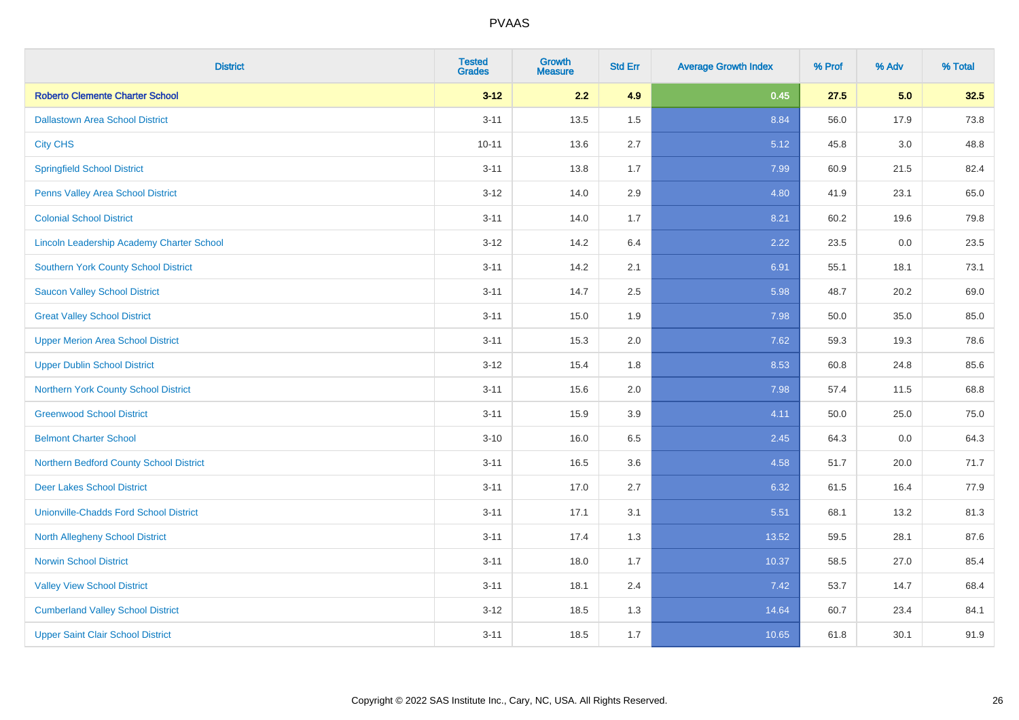| <b>District</b>                                  | <b>Tested</b><br><b>Grades</b> | <b>Growth</b><br><b>Measure</b> | <b>Std Err</b> | <b>Average Growth Index</b> | % Prof | % Adv   | % Total |
|--------------------------------------------------|--------------------------------|---------------------------------|----------------|-----------------------------|--------|---------|---------|
| <b>Roberto Clemente Charter School</b>           | $3 - 12$                       | 2.2                             | 4.9            | 0.45                        | 27.5   | 5.0     | 32.5    |
| <b>Dallastown Area School District</b>           | $3 - 11$                       | 13.5                            | 1.5            | 8.84                        | 56.0   | 17.9    | 73.8    |
| <b>City CHS</b>                                  | $10 - 11$                      | 13.6                            | 2.7            | 5.12                        | 45.8   | 3.0     | 48.8    |
| <b>Springfield School District</b>               | $3 - 11$                       | 13.8                            | 1.7            | 7.99                        | 60.9   | 21.5    | 82.4    |
| Penns Valley Area School District                | $3 - 12$                       | 14.0                            | 2.9            | 4.80                        | 41.9   | 23.1    | 65.0    |
| <b>Colonial School District</b>                  | $3 - 11$                       | 14.0                            | 1.7            | 8.21                        | 60.2   | 19.6    | 79.8    |
| <b>Lincoln Leadership Academy Charter School</b> | $3 - 12$                       | 14.2                            | 6.4            | 2.22                        | 23.5   | $0.0\,$ | 23.5    |
| <b>Southern York County School District</b>      | $3 - 11$                       | 14.2                            | 2.1            | 6.91                        | 55.1   | 18.1    | 73.1    |
| <b>Saucon Valley School District</b>             | $3 - 11$                       | 14.7                            | 2.5            | 5.98                        | 48.7   | 20.2    | 69.0    |
| <b>Great Valley School District</b>              | $3 - 11$                       | 15.0                            | 1.9            | 7.98                        | 50.0   | 35.0    | 85.0    |
| <b>Upper Merion Area School District</b>         | $3 - 11$                       | 15.3                            | 2.0            | 7.62                        | 59.3   | 19.3    | 78.6    |
| <b>Upper Dublin School District</b>              | $3 - 12$                       | 15.4                            | 1.8            | 8.53                        | 60.8   | 24.8    | 85.6    |
| Northern York County School District             | $3 - 11$                       | 15.6                            | 2.0            | 7.98                        | 57.4   | 11.5    | 68.8    |
| <b>Greenwood School District</b>                 | $3 - 11$                       | 15.9                            | 3.9            | 4.11                        | 50.0   | 25.0    | 75.0    |
| <b>Belmont Charter School</b>                    | $3 - 10$                       | 16.0                            | 6.5            | 2.45                        | 64.3   | 0.0     | 64.3    |
| Northern Bedford County School District          | $3 - 11$                       | 16.5                            | 3.6            | 4.58                        | 51.7   | 20.0    | 71.7    |
| <b>Deer Lakes School District</b>                | $3 - 11$                       | 17.0                            | 2.7            | 6.32                        | 61.5   | 16.4    | 77.9    |
| <b>Unionville-Chadds Ford School District</b>    | $3 - 11$                       | 17.1                            | 3.1            | 5.51                        | 68.1   | 13.2    | 81.3    |
| <b>North Allegheny School District</b>           | $3 - 11$                       | 17.4                            | 1.3            | 13.52                       | 59.5   | 28.1    | 87.6    |
| <b>Norwin School District</b>                    | $3 - 11$                       | 18.0                            | 1.7            | 10.37                       | 58.5   | 27.0    | 85.4    |
| <b>Valley View School District</b>               | $3 - 11$                       | 18.1                            | 2.4            | 7.42                        | 53.7   | 14.7    | 68.4    |
| <b>Cumberland Valley School District</b>         | $3 - 12$                       | 18.5                            | 1.3            | 14.64                       | 60.7   | 23.4    | 84.1    |
| <b>Upper Saint Clair School District</b>         | $3 - 11$                       | 18.5                            | 1.7            | 10.65                       | 61.8   | 30.1    | 91.9    |